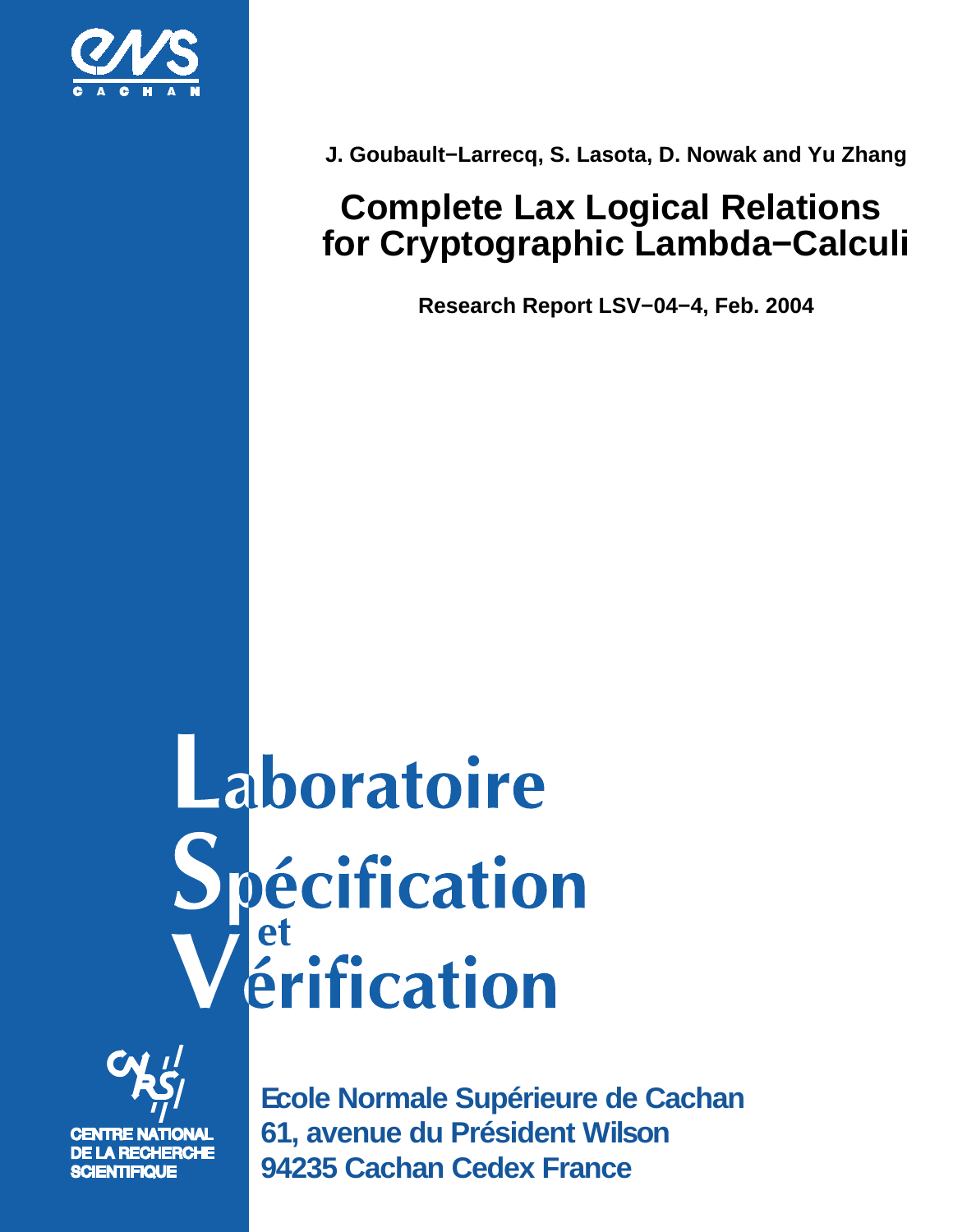

**J. Goubault−Larrecq, S. Lasota, D. Nowak and Yu Zhang**

# **Complete Lax Logical Relations for Cryptographic Lambda−Calculi**

**Research Report LSV−04−4, Feb. 2004**

# Laboratoire **Spécification<br>Vérification**



**Ecole Normale Supérieure de Cachan 61, avenue du Président Wilson 94235 Cachan Cedex France**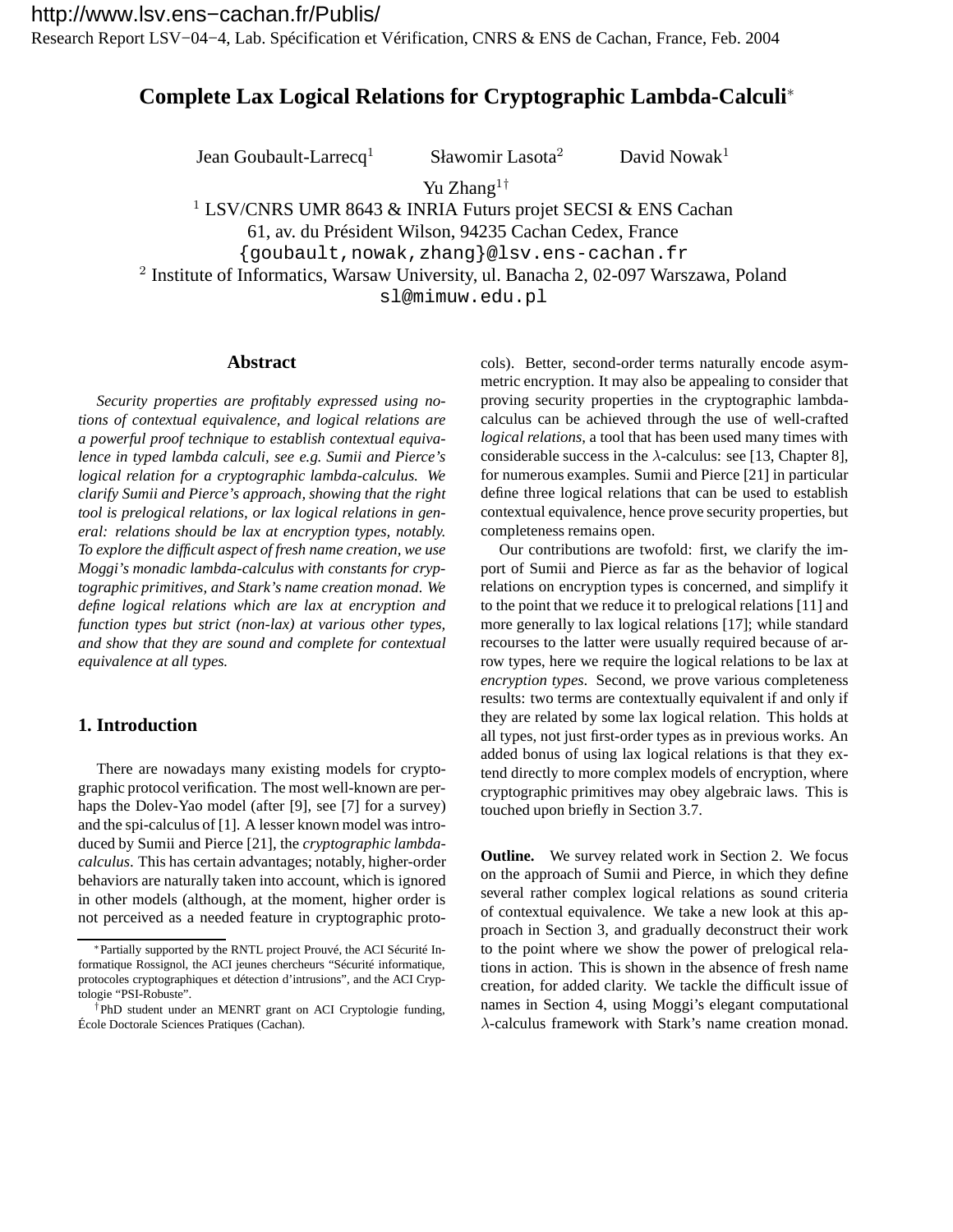Research Report LSV−04−4, Lab. Spécification et Vérification, CNRS & ENS de Cachan, France, Feb. 2004

# **Complete Lax Logical Relations for Cryptographic Lambda-Calculi**<sup>∗</sup>

Jean Goubault-Larrecq<sup>1</sup> Sławomir Lasota<sup>2</sup> David Nowak<sup>1</sup>

Yu Zhang<sup>1†</sup>

<sup>1</sup> LSV/CNRS UMR 8643 & INRIA Futurs projet SECSI & ENS Cachan 61, av. du Président Wilson, 94235 Cachan Cedex, France {goubault,nowak,zhang}@lsv.ens-cachan.fr 2 Institute of Informatics, Warsaw University, ul. Banacha 2, 02-097 Warszawa, Poland

sl@mimuw.edu.pl

# **Abstract**

*Security properties are profitably expressed using notions of contextual equivalence, and logical relations are a powerful proof technique to establish contextual equivalence in typed lambda calculi, see e.g. Sumii and Pierce's logical relation for a cryptographic lambda-calculus. We clarify Sumii and Pierce's approach, showing that the right tool is prelogical relations, or lax logical relations in general: relations should be lax at encryption types, notably. To explore the difficult aspect of fresh name creation, we use Moggi's monadic lambda-calculus with constants for cryptographic primitives, and Stark's name creation monad. We define logical relations which are lax at encryption and function types but strict (non-lax) at various other types, and show that they are sound and complete for contextual equivalence at all types.*

# **1. Introduction**

There are nowadays many existing models for cryptographic protocol verification. The most well-known are perhaps the Dolev-Yao model (after [9], see [7] for a survey) and the spi-calculus of [1]. A lesser known model was introduced by Sumii and Pierce [21], the *cryptographic lambdacalculus*. This has certain advantages; notably, higher-order behaviors are naturally taken into account, which is ignored in other models (although, at the moment, higher order is not perceived as a needed feature in cryptographic protocols). Better, second-order terms naturally encode asymmetric encryption. It may also be appealing to consider that proving security properties in the cryptographic lambdacalculus can be achieved through the use of well-crafted *logical relations*, a tool that has been used many times with considerable success in the  $\lambda$ -calculus: see [13, Chapter 8], for numerous examples. Sumii and Pierce [21] in particular define three logical relations that can be used to establish contextual equivalence, hence prove security properties, but completeness remains open.

Our contributions are twofold: first, we clarify the import of Sumii and Pierce as far as the behavior of logical relations on encryption types is concerned, and simplify it to the point that we reduce it to prelogical relations [11] and more generally to lax logical relations [17]; while standard recourses to the latter were usually required because of arrow types, here we require the logical relations to be lax at *encryption types*. Second, we prove various completeness results: two terms are contextually equivalent if and only if they are related by some lax logical relation. This holds at all types, not just first-order types as in previous works. An added bonus of using lax logical relations is that they extend directly to more complex models of encryption, where cryptographic primitives may obey algebraic laws. This is touched upon briefly in Section 3.7.

**Outline.** We survey related work in Section 2. We focus on the approach of Sumii and Pierce, in which they define several rather complex logical relations as sound criteria of contextual equivalence. We take a new look at this approach in Section 3, and gradually deconstruct their work to the point where we show the power of prelogical relations in action. This is shown in the absence of fresh name creation, for added clarity. We tackle the difficult issue of names in Section 4, using Moggi's elegant computational λ-calculus framework with Stark's name creation monad.

<sup>∗</sup>Partially supported by the RNTL project Prouvé, the ACI Sécurité Informatique Rossignol, the ACI jeunes chercheurs "Sécurité informatique, protocoles cryptographiques et détection d'intrusions", and the ACI Cryptologie "PSI-Robuste".

<sup>†</sup>PhD student under an MENRT grant on ACI Cryptologie funding, École Doctorale Sciences Pratiques (Cachan).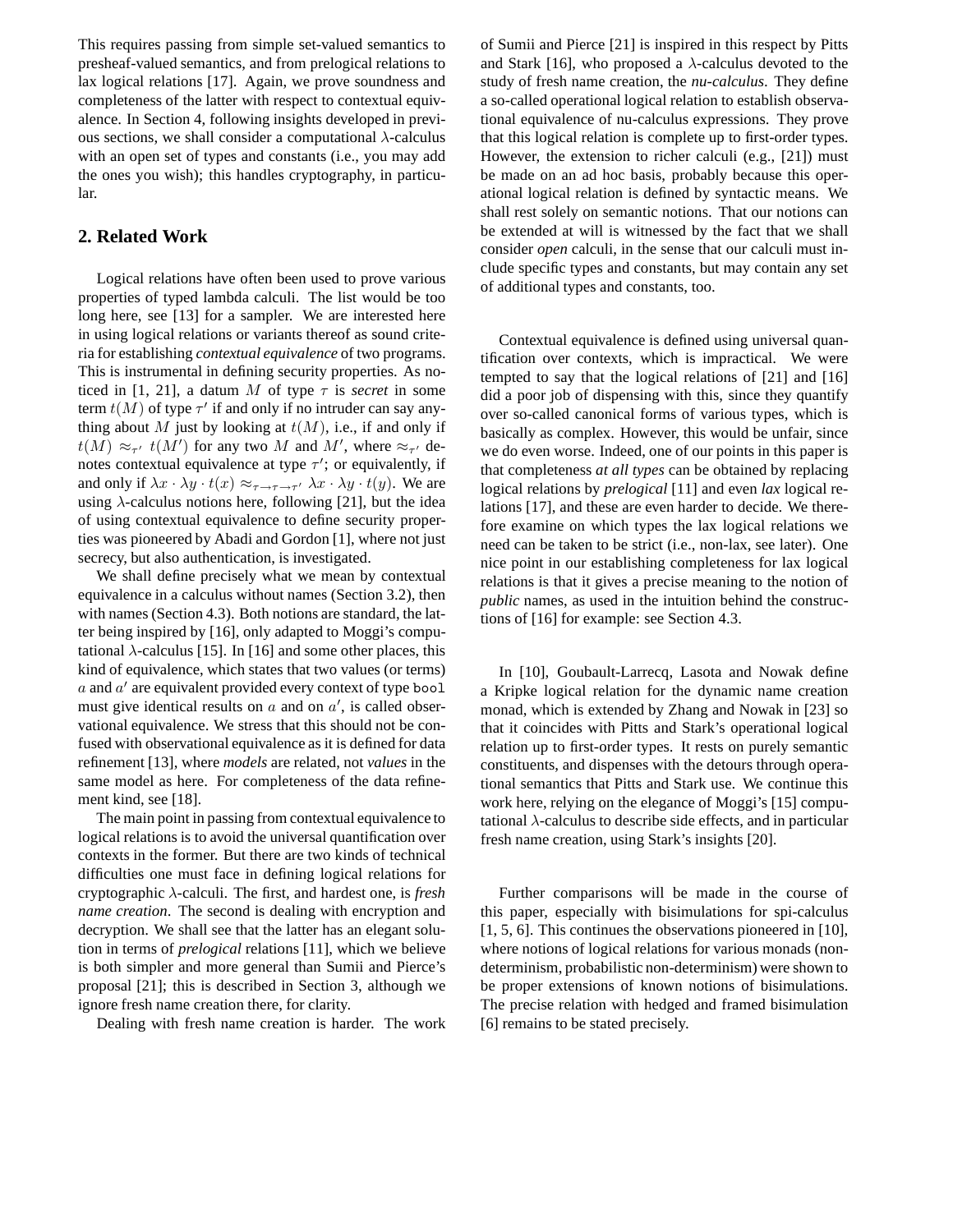This requires passing from simple set-valued semantics to presheaf-valued semantics, and from prelogical relations to lax logical relations [17]. Again, we prove soundness and completeness of the latter with respect to contextual equivalence. In Section 4, following insights developed in previous sections, we shall consider a computational  $\lambda$ -calculus with an open set of types and constants (i.e., you may add the ones you wish); this handles cryptography, in particular.

# **2. Related Work**

Logical relations have often been used to prove various properties of typed lambda calculi. The list would be too long here, see [13] for a sampler. We are interested here in using logical relations or variants thereof as sound criteria for establishing *contextual equivalence* of two programs. This is instrumental in defining security properties. As noticed in [1, 21], a datum M of type  $\tau$  is *secret* in some term  $t(M)$  of type  $\tau'$  if and only if no intruder can say anything about M just by looking at  $t(M)$ , i.e., if and only if  $t(M) \approx_{\tau'} t(M')$  for any two M and M', where  $\approx_{\tau'}$  denotes contextual equivalence at type  $\tau'$ ; or equivalently, if and only if  $\lambda x \cdot \lambda y \cdot t(x) \approx_{\tau \to \tau \to \tau'} \lambda x \cdot \lambda y \cdot t(y)$ . We are using  $\lambda$ -calculus notions here, following [21], but the idea of using contextual equivalence to define security properties was pioneered by Abadi and Gordon [1], where not just secrecy, but also authentication, is investigated.

We shall define precisely what we mean by contextual equivalence in a calculus without names (Section 3.2), then with names (Section 4.3). Both notions are standard, the latter being inspired by [16], only adapted to Moggi's computational  $\lambda$ -calculus [15]. In [16] and some other places, this kind of equivalence, which states that two values (or terms)  $a$  and  $a'$  are equivalent provided every context of type bool must give identical results on  $a$  and on  $a'$ , is called observational equivalence. We stress that this should not be confused with observational equivalence as it is defined for data refinement [13], where *models* are related, not *values* in the same model as here. For completeness of the data refinement kind, see [18].

The main point in passing from contextual equivalence to logical relations is to avoid the universal quantification over contexts in the former. But there are two kinds of technical difficulties one must face in defining logical relations for cryptographic λ-calculi. The first, and hardest one, is *fresh name creation*. The second is dealing with encryption and decryption. We shall see that the latter has an elegant solution in terms of *prelogical* relations [11], which we believe is both simpler and more general than Sumii and Pierce's proposal [21]; this is described in Section 3, although we ignore fresh name creation there, for clarity.

Dealing with fresh name creation is harder. The work

of Sumii and Pierce [21] is inspired in this respect by Pitts and Stark [16], who proposed a  $\lambda$ -calculus devoted to the study of fresh name creation, the *nu-calculus*. They define a so-called operational logical relation to establish observational equivalence of nu-calculus expressions. They prove that this logical relation is complete up to first-order types. However, the extension to richer calculi (e.g., [21]) must be made on an ad hoc basis, probably because this operational logical relation is defined by syntactic means. We shall rest solely on semantic notions. That our notions can be extended at will is witnessed by the fact that we shall consider *open* calculi, in the sense that our calculi must include specific types and constants, but may contain any set of additional types and constants, too.

Contextual equivalence is defined using universal quantification over contexts, which is impractical. We were tempted to say that the logical relations of [21] and [16] did a poor job of dispensing with this, since they quantify over so-called canonical forms of various types, which is basically as complex. However, this would be unfair, since we do even worse. Indeed, one of our points in this paper is that completeness *at all types* can be obtained by replacing logical relations by *prelogical* [11] and even *lax* logical relations [17], and these are even harder to decide. We therefore examine on which types the lax logical relations we need can be taken to be strict (i.e., non-lax, see later). One nice point in our establishing completeness for lax logical relations is that it gives a precise meaning to the notion of *public* names, as used in the intuition behind the constructions of [16] for example: see Section 4.3.

In [10], Goubault-Larrecq, Lasota and Nowak define a Kripke logical relation for the dynamic name creation monad, which is extended by Zhang and Nowak in [23] so that it coincides with Pitts and Stark's operational logical relation up to first-order types. It rests on purely semantic constituents, and dispenses with the detours through operational semantics that Pitts and Stark use. We continue this work here, relying on the elegance of Moggi's [15] computational  $\lambda$ -calculus to describe side effects, and in particular fresh name creation, using Stark's insights [20].

Further comparisons will be made in the course of this paper, especially with bisimulations for spi-calculus [1, 5, 6]. This continues the observations pioneered in [10], where notions of logical relations for various monads (nondeterminism, probabilistic non-determinism) were shown to be proper extensions of known notions of bisimulations. The precise relation with hedged and framed bisimulation [6] remains to be stated precisely.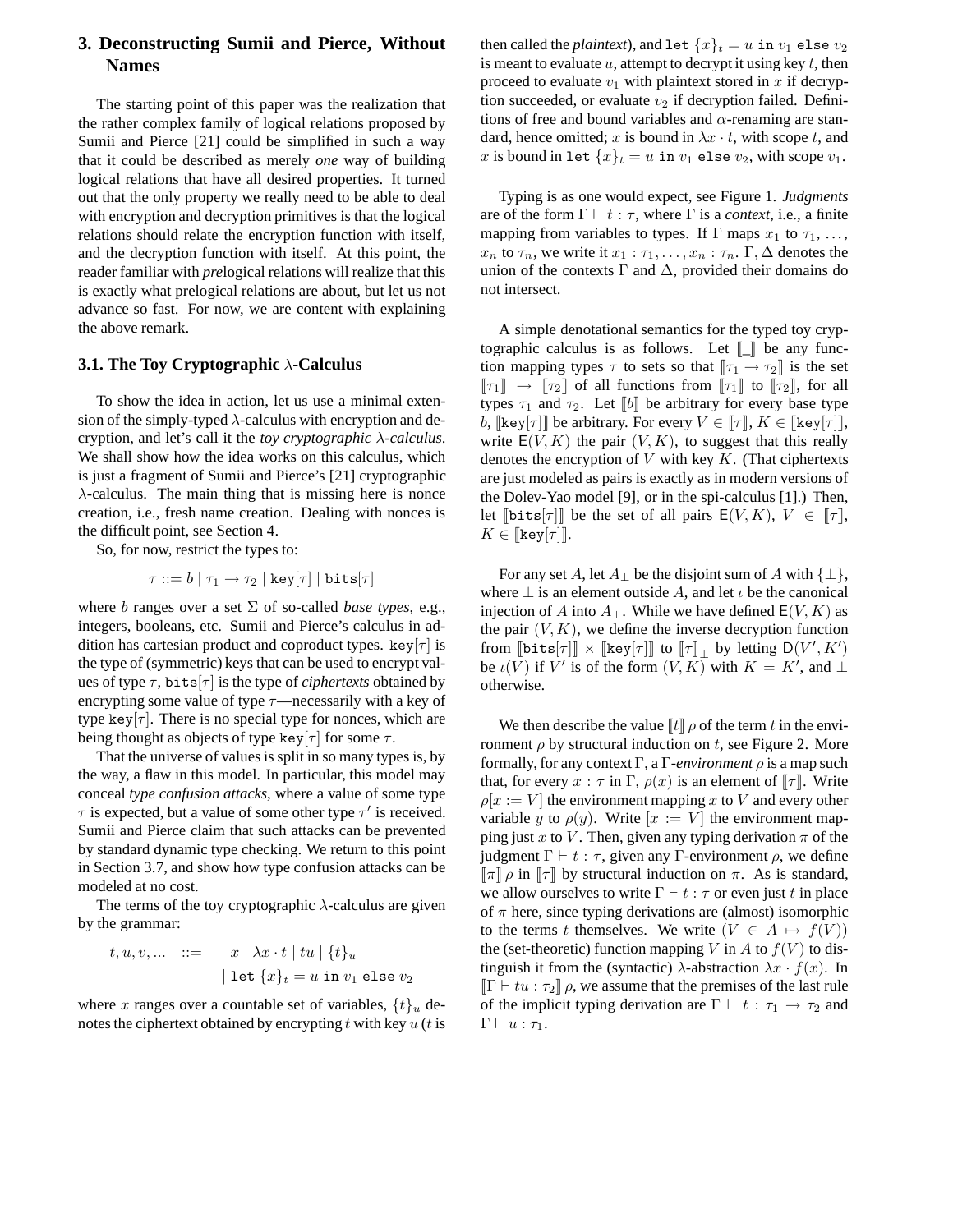# **3. Deconstructing Sumii and Pierce, Without Names**

The starting point of this paper was the realization that the rather complex family of logical relations proposed by Sumii and Pierce [21] could be simplified in such a way that it could be described as merely *one* way of building logical relations that have all desired properties. It turned out that the only property we really need to be able to deal with encryption and decryption primitives is that the logical relations should relate the encryption function with itself, and the decryption function with itself. At this point, the reader familiar with *pre*logical relations will realize that this is exactly what prelogical relations are about, but let us not advance so fast. For now, we are content with explaining the above remark.

#### **3.1. The Toy Cryptographic** λ**-Calculus**

To show the idea in action, let us use a minimal extension of the simply-typed  $\lambda$ -calculus with encryption and decryption, and let's call it the *toy cryptographic* λ*-calculus*. We shall show how the idea works on this calculus, which is just a fragment of Sumii and Pierce's [21] cryptographic  $\lambda$ -calculus. The main thing that is missing here is nonce creation, i.e., fresh name creation. Dealing with nonces is the difficult point, see Section 4.

So, for now, restrict the types to:

$$
\tau ::= b \ | \ \tau_1 \rightarrow \tau_2 \ | \ \mathtt{key}[\tau] \ | \ \mathtt{bits}[\tau]
$$

where *b* ranges over a set  $\Sigma$  of so-called *base types*, e.g., integers, booleans, etc. Sumii and Pierce's calculus in addition has cartesian product and coproduct types. key $[\tau]$  is the type of (symmetric) keys that can be used to encrypt values of type  $\tau$ , bits[ $\tau$ ] is the type of *ciphertexts* obtained by encrypting some value of type  $\tau$ —necessarily with a key of type key $[\tau]$ . There is no special type for nonces, which are being thought as objects of type key[ $\tau$ ] for some  $\tau$ .

That the universe of values is split in so many types is, by the way, a flaw in this model. In particular, this model may conceal *type confusion attacks*, where a value of some type  $\tau$  is expected, but a value of some other type  $\tau'$  is received. Sumii and Pierce claim that such attacks can be prevented by standard dynamic type checking. We return to this point in Section 3.7, and show how type confusion attacks can be modeled at no cost.

The terms of the toy cryptographic  $\lambda$ -calculus are given by the grammar:

$$
t, u, v, \dots \quad ::= \quad x \mid \lambda x \cdot t \mid tu \mid \{t\}_u
$$

$$
\mid \text{let } \{x\}_t = u \text{ in } v_1 \text{ else } v_2
$$

where x ranges over a countable set of variables,  $\{t\}_u$  denotes the ciphertext obtained by encrypting t with key  $u(t)$  is then called the *plaintext*), and let  $\{x\}_t = u$  in  $v_1$  else  $v_2$ is meant to evaluate  $u$ , attempt to decrypt it using key  $t$ , then proceed to evaluate  $v_1$  with plaintext stored in x if decryption succeeded, or evaluate  $v_2$  if decryption failed. Definitions of free and bound variables and  $\alpha$ -renaming are standard, hence omitted; x is bound in  $\lambda x \cdot t$ , with scope t, and x is bound in let  $\{x\}_t = u$  in  $v_1$  else  $v_2$ , with scope  $v_1$ .

Typing is as one would expect, see Figure 1. *Judgments* are of the form  $\Gamma \vdash t : \tau$ , where  $\Gamma$  is a *context*, i.e., a finite mapping from variables to types. If  $\Gamma$  maps  $x_1$  to  $\tau_1, \ldots,$  $x_n$  to  $\tau_n$ , we write it  $x_1 : \tau_1, \ldots, x_n : \tau_n$ .  $\Gamma, \Delta$  denotes the union of the contexts  $\Gamma$  and  $\Delta$ , provided their domains do not intersect.

A simple denotational semantics for the typed toy cryptographic calculus is as follows. Let  $\llbracket \_ \rrbracket$  be any function mapping types  $\tau$  to sets so that  $[\![\tau_1 \rightarrow \tau_2]\!]$  is the set  $\llbracket \tau_1 \rrbracket \rightarrow \llbracket \tau_2 \rrbracket$  of all functions from  $\llbracket \tau_1 \rrbracket$  to  $\llbracket \tau_2 \rrbracket$ , for all types  $\tau_1$  and  $\tau_2$ . Let  $\llbracket b \rrbracket$  be arbitrary for every base type b,  $\llbracket \text{key}[\tau] \rrbracket$  be arbitrary. For every  $V \in \llbracket \tau \rrbracket, K \in \llbracket \text{key}[\tau] \rrbracket$ , write  $E(V, K)$  the pair  $(V, K)$ , to suggest that this really denotes the encryption of  $V$  with key  $K$ . (That ciphertexts are just modeled as pairs is exactly as in modern versions of the Dolev-Yao model [9], or in the spi-calculus [1].) Then, let  $[\text{bits}[\tau]]$  be the set of all pairs  $E(V, K), V \in [\![\tau]\!]$ ,  $K \in \llbracket \text{key}[\tau] \rrbracket.$ 

For any set A, let  $A_{\perp}$  be the disjoint sum of A with  $\{\perp\},$ where  $\perp$  is an element outside A, and let  $\iota$  be the canonical injection of A into  $A_{\perp}$ . While we have defined  $E(V, K)$  as the pair  $(V, K)$ , we define the inverse decryption function from  $[\![\text{bits}[\tau]]\!] \times [\![\text{key}[\tau]]\!]$  to  $[\![\tau]\!]$  by letting  $D(V', K')$ be  $\iota(V)$  if V' is of the form  $(V, K)$  with  $K = K'$ , and  $\perp$ otherwise.

We then describe the value  $\llbracket t \rrbracket \rho$  of the term t in the environment  $\rho$  by structural induction on t, see Figure 2. More formally, for any context Γ, a Γ*-environment* ρ is a map such that, for every  $x : \tau$  in  $\Gamma$ ,  $\rho(x)$  is an element of  $\llbracket \tau \rrbracket$ . Write  $\rho[x := V]$  the environment mapping x to V and every other variable y to  $\rho(y)$ . Write  $[x := V]$  the environment mapping just x to V. Then, given any typing derivation  $\pi$  of the judgment Γ  $⊢ t : τ$ , given any Γ-environment  $ρ$ , we define  $\lbrack\!\lbrack\pi\rbrack\!\rbrack$   $\rbrack$  o in  $\lbrack\!\lbrack\tau\rbrack\!\rbrack$  by structural induction on  $\pi$ . As is standard, we allow ourselves to write  $\Gamma \vdash t : \tau$  or even just t in place of  $\pi$  here, since typing derivations are (almost) isomorphic to the terms t themselves. We write  $(V \in A \mapsto f(V))$ the (set-theoretic) function mapping V in A to  $f(V)$  to distinguish it from the (syntactic)  $\lambda$ -abstraction  $\lambda x \cdot f(x)$ . In  $\Vert \Gamma \Vert + tu : \tau_2 \Vert \rho$ , we assume that the premises of the last rule of the implicit typing derivation are  $\Gamma \vdash t : \tau_1 \rightarrow \tau_2$  and  $\Gamma \vdash u : \tau_1$ .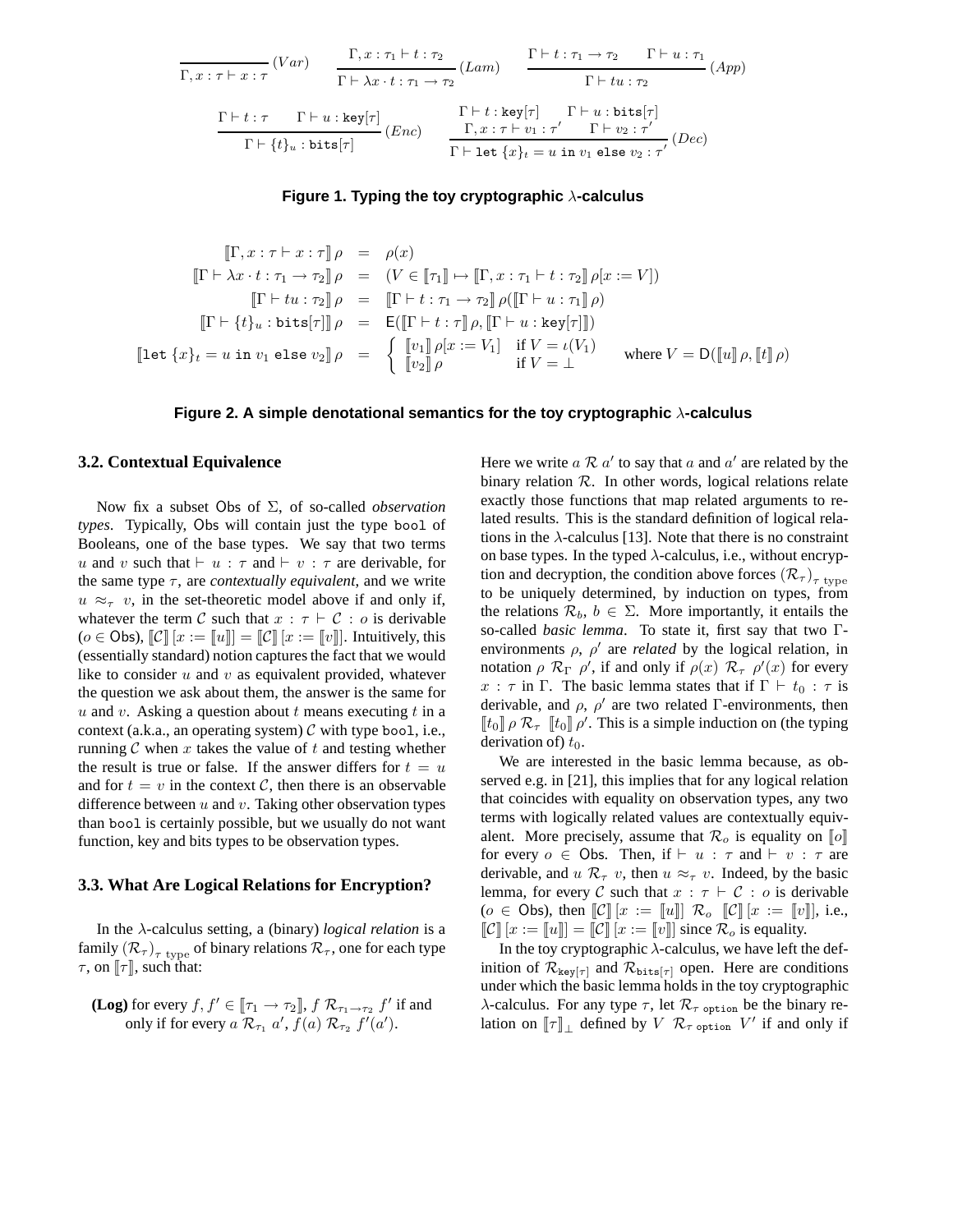$$
\frac{\Gamma, x : \tau \vdash x : \tau}{\Gamma, x : \tau \vdash x : \tau} (Var) \qquad \frac{\Gamma, x : \tau_1 \vdash t : \tau_2}{\Gamma \vdash \lambda x \cdot t : \tau_1 \to \tau_2} (Lam) \qquad \frac{\Gamma \vdash t : \tau_1 \to \tau_2 \qquad \Gamma \vdash u : \tau_1}{\Gamma \vdash tu : \tau_2} (App)
$$
\n
$$
\frac{\Gamma \vdash t : \tau \qquad \Gamma \vdash u : \text{key}[\tau]}{\Gamma \vdash t : \text{key}[\tau]} (Enc) \qquad \frac{\Gamma \vdash t : \text{key}[\tau]}{\Gamma \vdash \text{key} \vdash t : \tau' \qquad \Gamma \vdash v_2 : \tau'} \qquad (Dec)
$$
\n
$$
\frac{\Gamma \vdash t : \text{key}[\tau]}{\Gamma \vdash \text{let} \{x\}_t = u \text{ in } v_1 \text{ else } v_2 : \tau'} (Dec)
$$

### **Figure 1. Typing the toy cryptographic** λ**-calculus**

$$
\begin{array}{rcl}\n[\Gamma, x:\tau \vdash x:\tau] \rho & = & \rho(x) \\
[\Gamma \vdash \lambda x \cdot t:\tau_1 \to \tau_2] \rho & = & (V \in [\![\tau_1]\!] \mapsto [\![\Gamma, x:\tau_1 \vdash t:\tau_2]\!] \rho[x:=V]) \\
[\Gamma \vdash tu:\tau_2] \rho & = & [\![\Gamma \vdash t:\tau_1 \to \tau_2]\!] \rho([\![\Gamma \vdash u:\tau_1]\!] \rho) \\
[\Gamma \vdash \{t\}_u:\text{bits}[\tau]\!] \rho & = & \text{E}([\![\Gamma \vdash t:\tau]\!] \rho, [\![\Gamma \vdash u:\text{key}[\tau]]]) \\
[\![\text{let } \{x\}_t = u \text{ in } v_1 \text{ else } v_2]\!] \rho & = & \left\{ \begin{array}{rcl}\n[v_1]\!] \rho[x:=V_1] & \text{if } V = \iota(V_1) \\
[v_2]\!] \rho & & \text{if } V = \bot\n\end{array}\right. \text{ where } V = \text{D}([\![u]\!] \rho, [\![t]\!] \rho)\n\end{array}
$$

**Figure 2. A simple denotational semantics for the toy cryptographic** λ**-calculus**

## **3.2. Contextual Equivalence**

Now fix a subset Obs of Σ, of so-called *observation types*. Typically, Obs will contain just the type bool of Booleans, one of the base types. We say that two terms u and v such that  $\vdash u : \tau$  and  $\vdash v : \tau$  are derivable, for the same type  $\tau$ , are *contextually equivalent*, and we write  $u \approx_{\tau} v$ , in the set-theoretic model above if and only if, whatever the term C such that  $x : \tau \vdash C : o$  is derivable ( $o \in \mathsf{Obs}$ ),  $\llbracket \mathcal{C} \rrbracket [x := \llbracket u \rrbracket = \llbracket \mathcal{C} \rrbracket [x := \llbracket v \rrbracket].$  Intuitively, this (essentially standard) notion captures the fact that we would like to consider  $u$  and  $v$  as equivalent provided, whatever the question we ask about them, the answer is the same for u and v. Asking a question about  $t$  means executing  $t$  in a context (a.k.a., an operating system)  $\mathcal C$  with type bool, i.e., running  $C$  when  $x$  takes the value of  $t$  and testing whether the result is true or false. If the answer differs for  $t = u$ and for  $t = v$  in the context C, then there is an observable difference between  $u$  and  $v$ . Taking other observation types than bool is certainly possible, but we usually do not want function, key and bits types to be observation types.

# **3.3. What Are Logical Relations for Encryption?**

In the λ-calculus setting, a (binary) *logical relation* is a family  $\left( {\mathcal{R}_{\tau}} \right)_{\tau\text{ type}}$  of binary relations  ${\mathcal{R}_{\tau}},$  one for each type  $\tau$ , on  $\llbracket \tau \rrbracket$ , such that:

**(Log)** for every 
$$
f, f' \in [\![\tau_1 \to \tau_2]\!], f \mathcal{R}_{\tau_1 \to \tau_2} f'
$$
 if and  
only if for every  $a \mathcal{R}_{\tau_1} a', f(a) \mathcal{R}_{\tau_2} f'(a')$ .

Here we write  $a \mathcal{R} a'$  to say that  $a$  and  $a'$  are related by the binary relation  $R$ . In other words, logical relations relate exactly those functions that map related arguments to related results. This is the standard definition of logical relations in the  $\lambda$ -calculus [13]. Note that there is no constraint on base types. In the typed  $\lambda$ -calculus, i.e., without encryption and decryption, the condition above forces  $(\mathcal{R}_{\tau})_{\tau\ \text{type}}$ to be uniquely determined, by induction on types, from the relations  $\mathcal{R}_b$ ,  $b \in \Sigma$ . More importantly, it entails the so-called *basic lemma*. To state it, first say that two Γenvironments  $\rho$ ,  $\rho'$  are *related* by the logical relation, in notation  $\rho \mathcal{R}_{\Gamma} \rho'$ , if and only if  $\rho(x) \mathcal{R}_{\tau} \rho'(x)$  for every x :  $\tau$  in Γ. The basic lemma states that if  $\Gamma \vdash t_0 : \tau$  is derivable, and  $\rho$ ,  $\rho'$  are two related Γ-environments, then  $[[t_0]] \rho \mathcal{R}_{\tau}$   $[[t_0]] \rho'$ . This is a simple induction on (the typing derivation of)  $t_0$ .

We are interested in the basic lemma because, as observed e.g. in [21], this implies that for any logical relation that coincides with equality on observation types, any two terms with logically related values are contextually equivalent. More precisely, assume that  $\mathcal{R}_o$  is equality on  $\llbracket o \rrbracket$ for every  $o \in \text{Obs}$ . Then, if  $\vdash u : \tau$  and  $\vdash v : \tau$  are derivable, and  $u \mathcal{R}_{\tau} v$ , then  $u \approx_{\tau} v$ . Indeed, by the basic lemma, for every C such that  $x : \tau \vdash C : o$  is derivable  $(o \in \text{Obs})$ , then  $\llbracket \mathcal{C} \rrbracket [x := \llbracket u \rrbracket \rrbracket \mathcal{R}_o \llbracket \mathcal{C} \rrbracket [x := \llbracket v \rrbracket],$  i.e.,  $\llbracket \mathcal{C} \rrbracket [x := \llbracket u \rrbracket = \llbracket \mathcal{C} \rrbracket [x := \llbracket v \rrbracket]$  since  $\mathcal{R}_o$  is equality.

In the toy cryptographic  $\lambda$ -calculus, we have left the definition of  $\mathcal{R}_{\text{key}[\tau]}$  and  $\mathcal{R}_{\text{bits}[\tau]}$  open. Here are conditions under which the basic lemma holds in the toy cryptographic λ-calculus. For any type τ, let  $\mathcal{R}_{\tau}$  option be the binary relation on  $\llbracket \tau \rrbracket_{\perp}$  defined by  $V$   $\mathcal{R}_{\tau \text{ option }} V'$  if and only if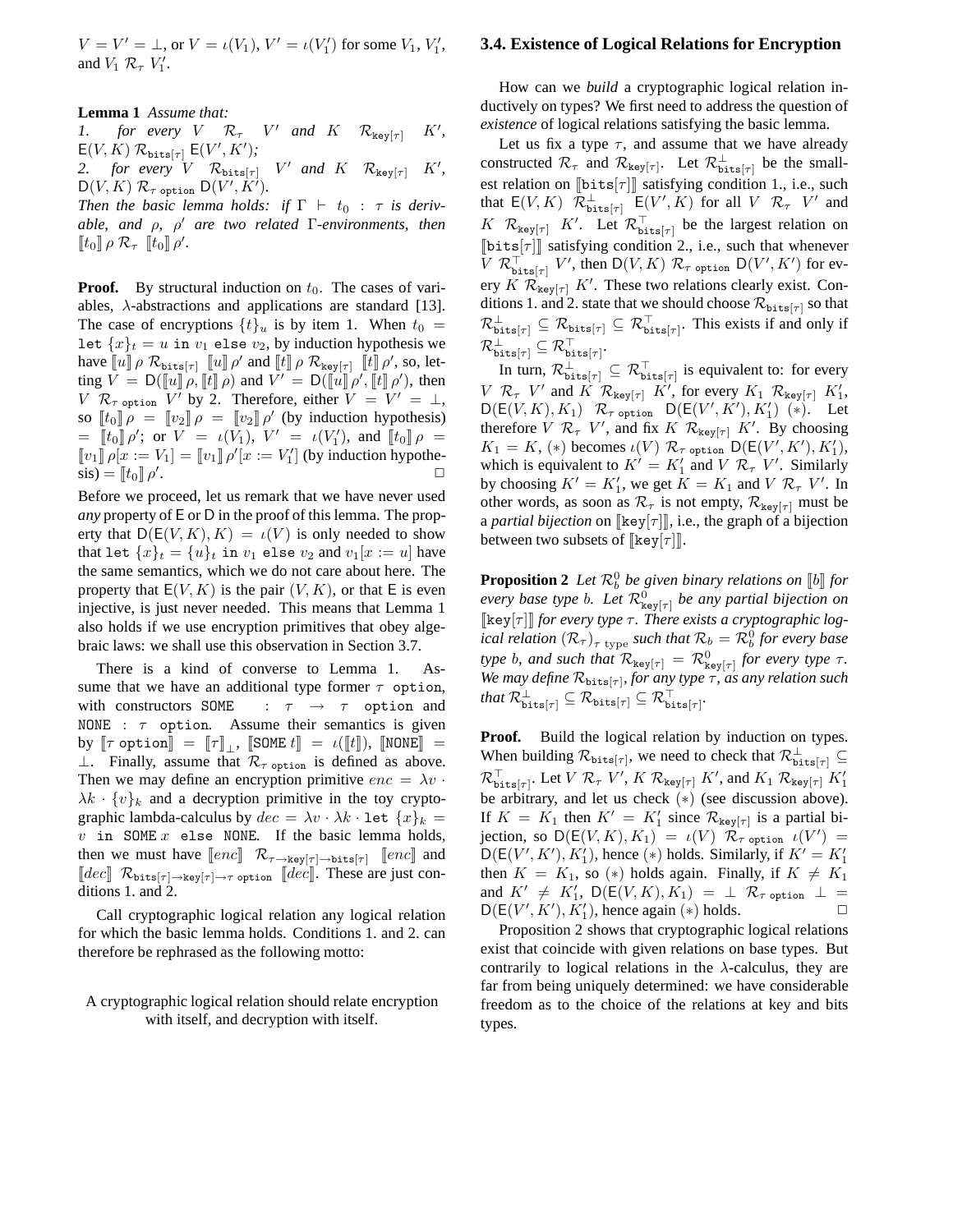$V = V' = \bot$ , or  $V = \iota(V_1)$ ,  $V' = \iota(V'_1)$  for some  $V_1$ ,  $V'_1$ , and  $V_1$   $\mathcal{R}_{\tau}$   $V_1'$ .

**Lemma 1** *Assume that:*

*1. for every*  $V \mathcal{R}_{\tau}$   $V'$  *and*  $K \mathcal{R}_{\text{key}[\tau]}$   $K'$ *,*  $\mathsf{E}(V,K) \mathrel{{\mathcal R}}_{\texttt{bits}[\tau]} \mathsf{E}(V',K');$ 2. for every  $V \mathcal{R}_{\text{bits}[\tau]}$   $V'$  and  $K \mathcal{R}_{\text{key}[\tau]}$   $K'$ ,

 $\mathsf{D}(V,K) \mathrel{{\mathcal R}}_{\tau \text{ option}} \mathsf{D}(V',\dot{K}').$ *Then the basic lemma holds: if*  $\Gamma$   $\vdash$   $t_0$  :  $\tau$  *is deriv-*

*able, and* ρ*,* ρ ′ *are two related* Γ*-environments, then*  $[\![t_0]\!] \rho \mathcal{R}_{\tau}$   $[\![t_0]\!] \rho'.$ 

**Proof.** By structural induction on  $t_0$ . The cases of variables,  $\lambda$ -abstractions and applications are standard [13]. The case of encryptions  $\{t\}_u$  is by item 1. When  $t_0 =$ let  ${x}_t = u$  in  $v_1$  else  $v_2$ , by induction hypothesis we have  $\llbracket u \rrbracket \rho \mathcal{R}_{\text{bits}}[\tau] \llbracket u \rrbracket \rho'$  and  $\llbracket t \rrbracket \rho \mathcal{R}_{\text{key}[\tau]} \llbracket t \rrbracket \rho',$  so, letting  $\overline{V} = D([\![u]\!] \rho, [\![t]\!] \rho)$  and  $\overline{V'} = D([\![u]\!] \rho', [\![t]\!] \rho'),$  then V  $\mathcal{R}_{\tau \text{ option }} V'$  by 2. Therefore, either  $V = V' = \bot$ , so  $\begin{bmatrix} t_0 \end{bmatrix} \rho = \begin{bmatrix} v_2 \end{bmatrix} \rho = \begin{bmatrix} v_2 \end{bmatrix} \rho'$  (by induction hypothesis)  $=\left[\![t_0]\!] \rho';$  or  $V = \iota(V_1), V' = \iota(V'_1),$  and  $\left[\![t_0]\!] \rho =$  $\llbracket v_1 \rrbracket \rho[x := V_1] = \llbracket v_1 \rrbracket \rho'[x := V_1']$  (by induction hypothe- $\sin = [t_0] \rho'$ . ✷

Before we proceed, let us remark that we have never used *any* property of E or D in the proof of this lemma. The property that  $D(E(V, K), K) = \iota(V)$  is only needed to show that let  $\{x\}_t = \{u\}_t$  in  $v_1$  else  $v_2$  and  $v_1[x := u]$  have the same semantics, which we do not care about here. The property that  $E(V, K)$  is the pair  $(V, K)$ , or that E is even injective, is just never needed. This means that Lemma 1 also holds if we use encryption primitives that obey algebraic laws: we shall use this observation in Section 3.7.

There is a kind of converse to Lemma 1. Assume that we have an additional type former  $\tau$  option, with constructors SOME :  $\tau \rightarrow \tau$  option and NONE :  $\tau$  option. Assume their semantics is given by  $[\![\tau \text{ option}]\!] = [\![\tau]\!]_\bot$ ,  $[\![\text{SOME } t]\!] = \iota([\![t]\!])$ ,  $[\![\text{NONE}]\!] =$ ⊥. Finally, assume that  $\mathcal{R}_{\tau}$  option is defined as above. Then we may define an encryption primitive  $enc = \lambda v$ .  $\lambda k \cdot \{v\}_k$  and a decryption primitive in the toy cryptographic lambda-calculus by  $dec = \lambda v \cdot \lambda k \cdot \text{let } \{x\}_k =$  $v$  in SOME  $x$  else NONE. If the basic lemma holds, then we must have  $\llbracket enc \rrbracket$   $\mathcal{R}_{\tau \to \text{key}[\tau] \to \text{bits}[\tau]}$   $\llbracket enc \rrbracket$  and  $\llbracket dec \rrbracket$   $\mathcal{R}_{\texttt{bits}[\tau] \to \texttt{key}[\tau] \to \tau}$  option  $\llbracket dec \rrbracket$ . These are just conditions 1. and 2.

Call cryptographic logical relation any logical relation for which the basic lemma holds. Conditions 1. and 2. can therefore be rephrased as the following motto:

# A cryptographic logical relation should relate encryption with itself, and decryption with itself.

#### **3.4. Existence of Logical Relations for Encryption**

How can we *build* a cryptographic logical relation inductively on types? We first need to address the question of *existence* of logical relations satisfying the basic lemma.

Let us fix a type  $\tau$ , and assume that we have already constructed  $\mathcal{R}_{\tau}$  and  $\mathcal{R}_{\text{key}[\tau]}$ . Let  $\mathcal{R}_{\text{bits}[\tau]}^{\perp}$  be the smallest relation on  $[\![bits[\tau]]\!]$  satisfying condition 1., i.e., such that  $E(V, K)$   $\mathcal{R}_{\text{bits}[\tau]}^{\perp}$   $E(V', K)$  for all  $V$   $\mathcal{R}_{\tau}$   $V'$  and K  $\mathcal{R}_{\text{key}[\tau]}$  K'. Let  $\mathcal{R}_{\text{bits}[\tau]}^{\top}$  be the largest relation on  $[\![bits[\tau]]\!]$  satisfying condition 2., i.e., such that whenever  $\overline{V}$   $\mathcal{R}_{\texttt{bits}[\tau]}^{\top}$   $V'$ , then  $\mathsf{D}(V,K)$   $\mathcal{R}_{\tau \texttt{option}}$   $\mathsf{D}(V',K')$  for every  $K$   $\mathcal{R}_{\text{key}[\tau]}$  K'. These two relations clearly exist. Conditions 1. and 2. state that we should choose  $\mathcal{R}_{\text{bits}[\tau]}$  so that  $\mathcal{R}^\perp_{\texttt{bits}[\tau]} \subseteq \mathcal{R}^\top_{\texttt{bits}[\tau]}.$  This exists if and only if  $\mathcal{R}^\perp_{\tt bits[\tau]} \subseteq \mathcal{R}^\top_{\tt bits[\tau]}.$ 

In turn,  $\mathcal{R}^\perp_{\texttt{bits}[\tau]} \subseteq \mathcal{R}^\top_{\texttt{bits}[\tau]}$  is equivalent to: for every  $V \mathcal{R}_{\tau}$  V' and  $\overrightarrow{K} \mathcal{R}_{\text{key}[\tau]}$   $\overrightarrow{K}'$ , for every  $K_1 \mathcal{R}_{\text{key}[\tau]}$   $K'_1$ ,  $D(E(V, K), K_1)$   $\mathcal{R}_{\tau \text{ option}}$   $D(E(V', K'), K'_1)$   $(*)$ . Let therefore  $V \mathcal{R}_{\tau} V'$ , and fix  $K \mathcal{R}_{\text{key}[\tau]} K'$ . By choosing  $K_1 = K$ , (\*) becomes  $\iota(V)$   $\mathcal{R}_{\tau \text{ option}}$   $D(E(V', K'), K'_1)$ , which is equivalent to  $K' = K'_1$  and  $V \mathcal{R}_{\tau} V'$ . Similarly by choosing  $K' = K'_1$ , we get  $K = K_1$  and  $V \mathcal{R}_{\tau} V'$ . In other words, as soon as  $\mathcal{R}_{\tau}$  is not empty,  $\mathcal{R}_{\text{key}[\tau]}$  must be a *partial bijection* on [ $\text{key}[\tau]$ ], i.e., the graph of a bijection between two subsets of  $[\&eq[r]\]$ .

**Proposition 2** Let  $\mathcal{R}_b^0$  be given binary relations on  $\llbracket b \rrbracket$  for *every base type b. Let*  $\mathcal{R}^0_{\mathbf{key}[\tau]}$  *be any partial bijection on* [key[τ]] for every type τ. There exists a cryptographic log*ical relation*  $(R_{\tau})_{\tau \text{ type }}$  *such that*  $R_b = R_b^0$  *for every base type b, and such that*  $\mathcal{R}_{\text{key}[\tau]} = \mathcal{R}_{\text{key}[\tau]}^0$  for every type  $\tau$ . We may define  $\mathcal{R}_{\text{bits}[\tau]}$ , for any type  $\tau$ , as any relation such  $\mathit{that} \ \mathcal{R}_{\texttt{bits}[\tau]}^{\perp} \subseteq \mathcal{R}_{\texttt{bits}[\tau]}^{\perp} \subseteq \mathcal{R}_{\texttt{bits}[\tau]}^{\top}.$ 

**Proof.** Build the logical relation by induction on types. When building  $\mathcal{R}_{\text{bits}[\tau]}$ , we need to check that  $\mathcal{R}_{\text{bits}[\tau]}^{\perp} \subseteq$  $\mathcal{R}_{\texttt{bits}[\tau]}^{\top}$ . Let  $V$   $\mathcal{R}_{\tau}$   $V', K$   $\mathcal{R}_{\texttt{key}[\tau]}$   $K',$  and  $K_1$   $\mathcal{R}_{\texttt{key}[\tau]}$   $K'_1$ be arbitrary, and let us check  $(*)$  (see discussion above). If  $K = K_1$  then  $K' = K'_1$  since  $\mathcal{R}_{\text{key}[\tau]}$  is a partial bijection, so  $D(E(V, K), K_1) = \iota(V) \widetilde{\mathcal{R}}_{\tau}$  option  $\iota(V') =$  $D(E(V', K'), K'_1)$ , hence (\*) holds. Similarly, if  $K' = K'_1$ then  $K = K_1$ , so (\*) holds again. Finally, if  $K \neq K_1$ and  $K' \neq K'_1$ ,  $\mathsf{D}(\mathsf{E}(V,K), K_1) = \perp \mathcal{R}_{\tau \text{ option}} \perp =$  $D(E(V', K'), K'_1)$ , hence again (\*) holds.

Proposition 2 shows that cryptographic logical relations exist that coincide with given relations on base types. But contrarily to logical relations in the  $\lambda$ -calculus, they are far from being uniquely determined: we have considerable freedom as to the choice of the relations at key and bits types.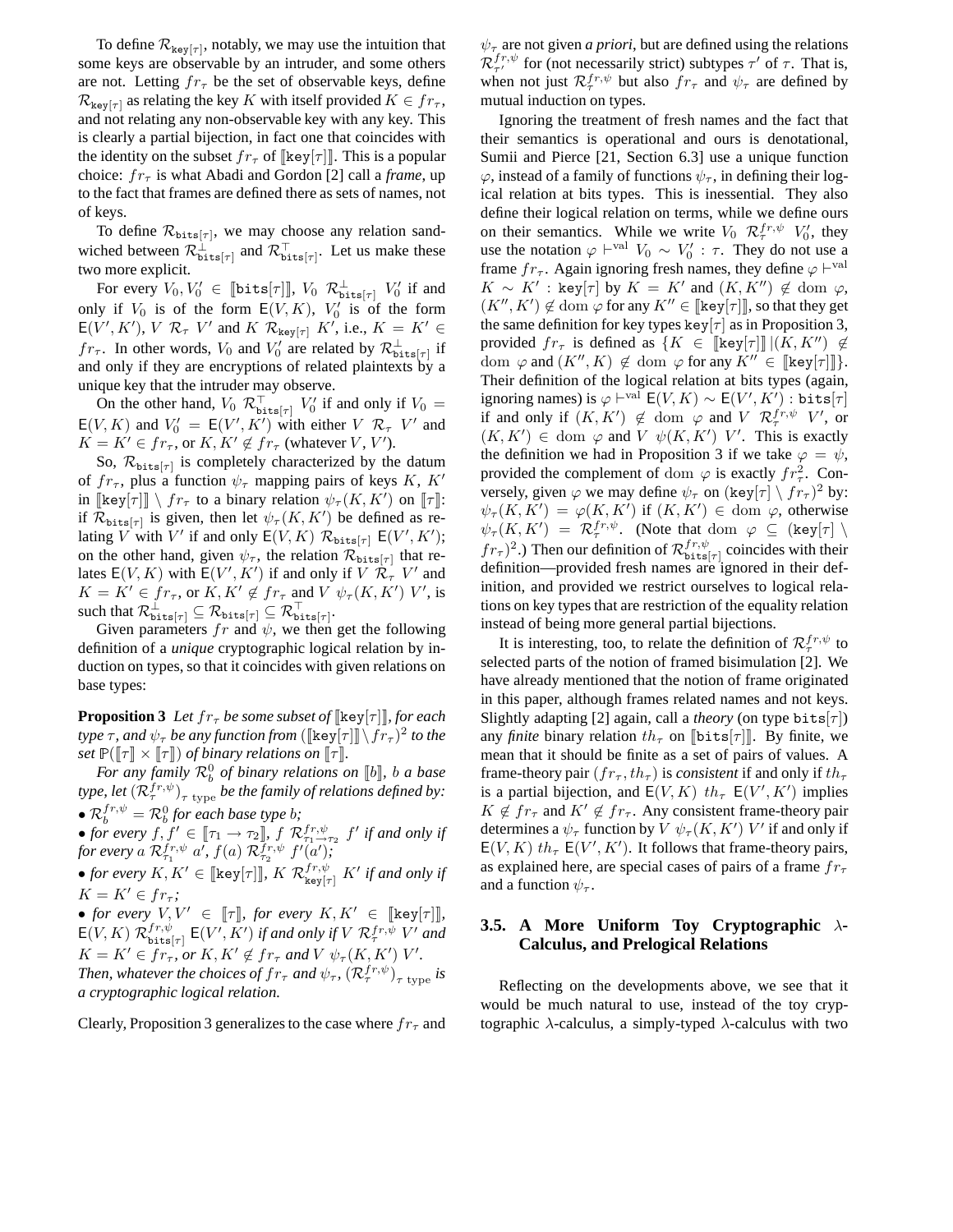To define  $\mathcal{R}_{\text{key}[\tau]}$ , notably, we may use the intuition that some keys are observable by an intruder, and some others are not. Letting  $fr<sub>\tau</sub>$  be the set of observable keys, define  $\mathcal{R}_{\text{kev}[\tau]}$  as relating the key K with itself provided  $K \in fr_{\tau}$ , and not relating any non-observable key with any key. This is clearly a partial bijection, in fact one that coincides with the identity on the subset  $fr_{\tau}$  of  $[\text{key}[\tau]]$ . This is a popular choice:  $fr_{\tau}$  is what Abadi and Gordon [2] call a *frame*, up to the fact that frames are defined there as sets of names, not of keys.

To define  $\mathcal{R}_{\text{bits}[\tau]}$ , we may choose any relation sandwiched between  $\mathcal{R}^{\perp}_{\text{bits}[\tau]}$  and  $\mathcal{R}^{\top}_{\text{bits}[\tau]}$ . Let us make these two more explicit.

For every  $V_0, V'_0 \in \llbracket \texttt{bits}[\tau] \rrbracket$ ,  $V_0$   $\mathcal{R}^\perp_{\texttt{bits}[\tau]}$   $V'_0$  if and only if  $V_0$  is of the form  $E(V, K)$ ,  $V'_0$  is of the form  $E(V', K'), V \mathcal{R}_{\tau} V'$  and  $K \mathcal{R}_{\text{key}[\tau]} K'$ , i.e.,  $K = K' \in$  $fr_{\tau}$ . In other words,  $V_0$  and  $V'_0$  are related by  $\mathcal{R}^{\perp}_{\text{bits}[\tau]}$  if and only if they are encryptions of related plaintexts by a unique key that the intruder may observe.

On the other hand,  $V_0$   $\mathcal{R}_{\text{bits}[\tau]}^{\top}$   $V_0'$  if and only if  $V_0 =$  $E(V, K)$  and  $V'_0 = E(V', K')$  with either  $V \mathcal{R}_{\tau} V'$  and  $K = K' \in fr_{\tau}$ , or  $K, K' \notin fr_{\tau}$  (whatever  $V, V'$ ).

So,  $\mathcal{R}_{\text{bits}[\tau]}$  is completely characterized by the datum of  $fr_{\tau}$ , plus a function  $\psi_{\tau}$  mapping pairs of keys K, K' in  $[\![\text{key}[\tau]] \setminus fr_{\tau} \!]$  to a binary relation  $\psi_{\tau}(K, K')$  on  $[\![\tau]\!]$ : if  $\mathcal{R}_{\text{bits}[\tau]}$  is given, then let  $\psi_{\tau}(K, K')$  be defined as relating V with V' if and only  $E(V, K)$   $\mathcal{R}_{\text{bits}[\tau]}$   $E(V', K')$ ; on the other hand, given  $\psi_{\tau}$ , the relation  $\mathcal{R}_{\text{bits}[\tau]}$  that relates  $E(V, K)$  with  $E(V', K')$  if and only if  $V \dot{\mathcal{R}}_{\tau}^{\dagger} V'$  and  $K = K' \in fr_{\tau}$ , or  $K, K' \notin fr_{\tau}$  and  $V \psi_{\tau}(K, K')$  V', is such that  $\mathcal{R}_{\texttt{bits}[\tau]}^\perp \subseteq \mathcal{R}_{\texttt{bits}[\tau]} \subseteq \mathcal{R}_{\texttt{bits}[\tau]}^\top.$ 

Given parameters  $fr$  and  $\psi$ , we then get the following definition of a *unique* cryptographic logical relation by induction on types, so that it coincides with given relations on base types:

**Proposition 3** Let  $fr<sub>\tau</sub>$  be some subset of  $[\ker[\tau]]$ *, for each type*  $\tau$ , and  $\psi_{\tau}$  *be any function from* ( $[\![ \text{key}[\tau ]\!] \setminus fr_{\tau} )^2$  *to the set*  $\mathbb{P}(\llbracket \tau \rrbracket \times \llbracket \tau \rrbracket)$  *of binary relations on*  $\llbracket \tau \rrbracket$ *.* 

*For any family*  $\mathcal{R}_b^0$  *of binary relations on* [*b*], *b a base* type, let  $(\mathcal{R}_{\tau}^{fr,\psi})_{\tau\text{ type}}$  be the family of relations defined by: •  $\mathcal{R}_b^{fr,\psi} = \mathcal{R}_b^0$  for each base type *b*;

•  $k_b = k_b$  for every  $f, f' \in [\tau_1 \to \tau_2]$ ,  $f \mathcal{R}^{fr, \psi}_{\tau_1, \tau_2, \tau_3} f'$  if and only if for every a  $\mathcal{R}_{\tau_1}^{fr, \psi}$  a<sup>*f*</sup>,  $f(a)$   $\mathcal{R}_{\tau_2}^{\overline{f}r, \psi}$   $f'(a')$ ;

• *for every*  $K, K' \in [\![ \text{key}[\tau] ]\!]$ ,  $K$   $\mathcal{R}_{\text{key}[\tau]}^{fr, \psi}$   $K'$  if and only if  $K = K' \in fr_{\tau}$ ;

• *for every*  $V, V' \in [\![\tau]\!]$ *, for every*  $K, K' \in [\![\text{key}[\tau]]\!]$ *,*  $E(V, K)$   $\mathcal{R}_{\text{bits}}^{fr, \psi}$  $f^{r,\psi}_{\texttt{bits}[\tau]}$   $\mathsf{E}(V',K')$  if and only if  $V$   $\mathcal{R}_{\tau}^{fr,\psi}$   $V'$  and  $K = K' \in fr_{\tau}$ , or  $K, K' \notin fr_{\tau}$  and  $V \psi_{\tau}(K, K')$   $V'.$ *Then, whatever the choices of*  $fr$ *<sub>τ</sub> and*  $\psi$ *<sub>τ</sub>,*  $(\mathcal{R}_{\tau}^{fr,\psi})$ *<sub>τ type</sub> is a cryptographic logical relation.*

Clearly, Proposition 3 generalizes to the case where  $fr<sub>\tau</sub>$  and

 $\psi_{\tau}$  are not given *a priori*, but are defined using the relations  $\mathcal{R}_{\tau'}^{fr,\psi}$  for (not necessarily strict) subtypes  $\tau'$  of  $\tau$ . That is, when not just  $\mathcal{R}_{\tau}^{fr,\psi}$  but also  $fr_{\tau}$  and  $\psi_{\tau}$  are defined by mutual induction on types.

Ignoring the treatment of fresh names and the fact that their semantics is operational and ours is denotational, Sumii and Pierce [21, Section 6.3] use a unique function  $\varphi$ , instead of a family of functions  $\psi_{\tau}$ , in defining their logical relation at bits types. This is inessential. They also define their logical relation on terms, while we define ours on their semantics. While we write  $V_0$   $\mathcal{R}^{fr, \psi}_{\tau}$   $V'_0$ , they use the notation  $\varphi \vdash^{\text{val}} V_0 \sim V'_0 : \tau$ . They do not use a frame  $fr_{\tau}$ . Again ignoring fresh names, they define  $\varphi \vdash^{\text{val}}$  $K \sim K'$ : key[ $\tau$ ] by  $K = K'$  and  $(K, K'') \notin \text{dom } \varphi$ ,  $(K'', K') \notin \text{dom } \varphi \text{ for any } K'' \in [\text{key}[\tau]]$ , so that they get the same definition for key types key $|\tau|$  as in Proposition 3, provided  $fr_{\tau}$  is defined as  $\{K \in \llbracket \ker[\tau] \rrbracket \, | (K, K'') \not\in$ dom  $\varphi$  and  $(K'', K) \notin \text{dom } \varphi$  for any  $K'' \in [\text{key}[\tau]]$ . Their definition of the logical relation at bits types (again, ignoring names) is  $\varphi\vdash^{\text{val}}\mathsf{E}(V,K)\sim \mathsf{E}(V',K')$  : bits $[\tau]$ if and only if  $(K, K') \notin \text{dom } \varphi$  and  $V \mathcal{R}_{\tau}^{fr, \psi} V'$ , or  $(K, K') \in \text{dom } \varphi \text{ and } V \psi(K, K') \ V'$ . This is exactly the definition we had in Proposition 3 if we take  $\varphi = \psi$ , provided the complement of dom  $\varphi$  is exactly  $fr^2_{\tau}$ . Conversely, given  $\varphi$  we may define  $\psi_{\tau}$  on  $(\text{key}[\tau] \setminus fr_{\tau})^2$  by:  $\psi_{\tau}(K,K') = \varphi(K,K')$  if  $(K,K') \in \text{dom } \varphi$ , otherwise  $\psi_{\tau}(K,K') = \mathcal{R}_{\tau}^{fr,\psi}$ . (Note that dom  $\varphi \subseteq (\text{key}[\tau] \setminus$  $f(r_\tau)^2$ .) Then our definition of  $\mathcal{R}_{\text{bits}}^{fr, \psi}$  $b_{\text{bits}[\tau]}^{J^T,\psi}$  coincides with their definition—provided fresh names are ignored in their definition, and provided we restrict ourselves to logical relations on key types that are restriction of the equality relation instead of being more general partial bijections.

It is interesting, too, to relate the definition of  $\mathcal{R}_{\tau}^{fr, \psi}$  to selected parts of the notion of framed bisimulation [2]. We have already mentioned that the notion of frame originated in this paper, although frames related names and not keys. Slightly adapting [2] again, call a *theory* (on type bits[ $\tau$ ]) any *finite* binary relation  $th_{\tau}$  on  $[\text{bits}[\tau]]$ . By finite, we mean that it should be finite as a set of pairs of values. A frame-theory pair  $(fr_\tau, th_\tau)$  is *consistent* if and only if  $th_\tau$ is a partial bijection, and  $E(V, K)$   $th_{\tau} E(V', K')$  implies  $K \notin fr_{\tau}$  and  $K' \notin fr_{\tau}$ . Any consistent frame-theory pair determines a  $\psi_{\tau}$  function by  $V \psi_{\tau}(K, K')$  V' if and only if  $E(V, K)$   $th_{\tau} E(V', K')$ . It follows that frame-theory pairs, as explained here, are special cases of pairs of a frame  $fr<sub>\tau</sub>$ and a function  $\psi_{\tau}$ .

# **3.5. A More Uniform Toy Cryptographic** λ**-Calculus, and Prelogical Relations**

Reflecting on the developments above, we see that it would be much natural to use, instead of the toy cryptographic  $\lambda$ -calculus, a simply-typed  $\lambda$ -calculus with two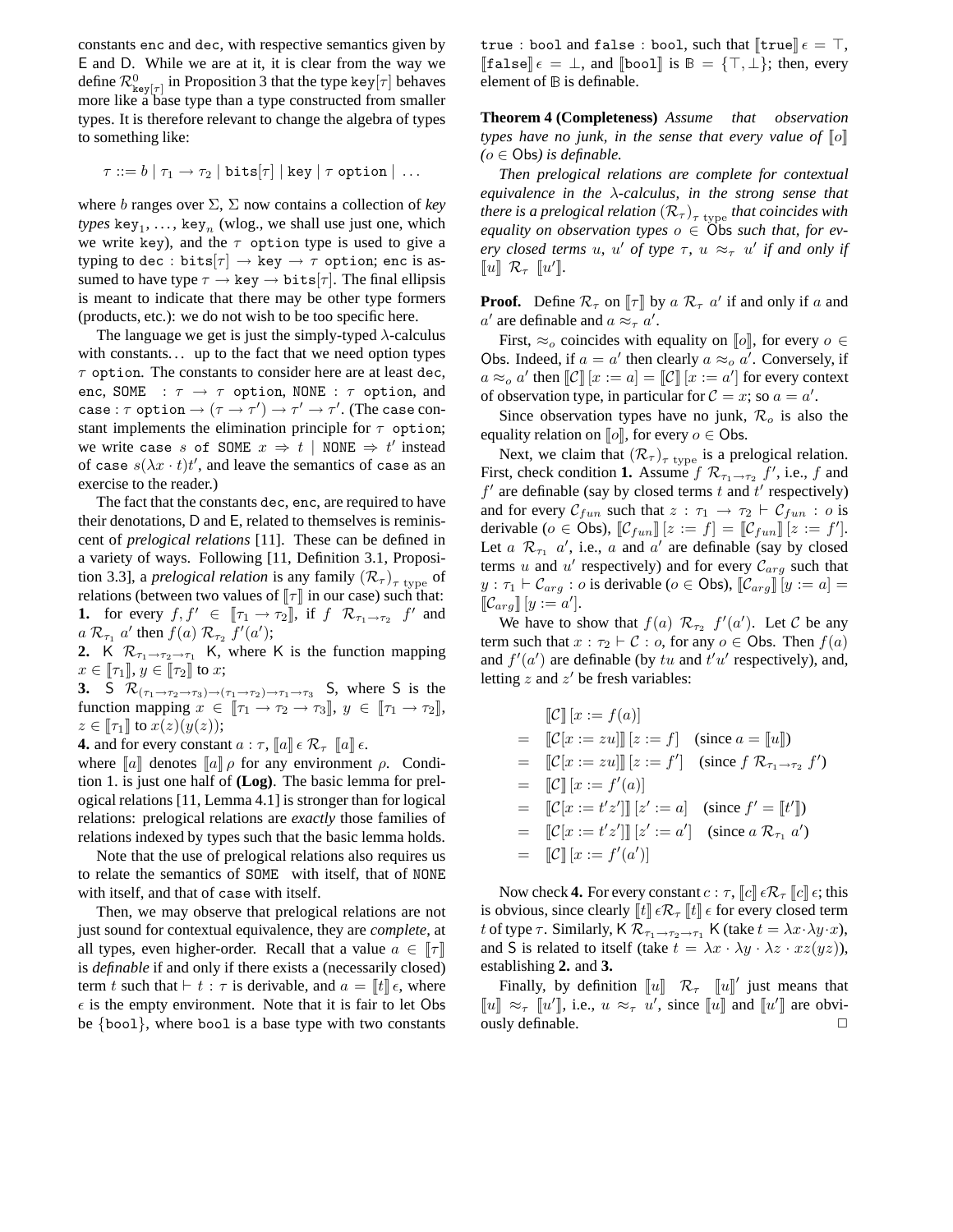constants enc and dec, with respective semantics given by E and D. While we are at it, it is clear from the way we define  $\mathcal{R}_{\texttt{key}[\tau]}^0$  in Proposition 3 that the type key $[\tau]$  behaves more like a base type than a type constructed from smaller types. It is therefore relevant to change the algebra of types to something like:

$$
\tau ::= b | \tau_1 \rightarrow \tau_2 | \text{bits}[\tau] | \text{key} | \tau \text{ option} | \dots
$$

where b ranges over Σ, Σ now contains a collection of *key*  $types \; \text{key}_1, \ldots, \text{key}_n \; (\text{wlog.}, \text{we shall use just one, which})$ we write key), and the  $\tau$  option type is used to give a typing to dec : bits $[\tau] \rightarrow \text{key} \rightarrow \tau$  option; enc is assumed to have type  $\tau \to \text{key} \to \text{bits}[\tau]$ . The final ellipsis is meant to indicate that there may be other type formers (products, etc.): we do not wish to be too specific here.

The language we get is just the simply-typed  $\lambda$ -calculus with constants... up to the fact that we need option types  $\tau$  option. The constants to consider here are at least dec, enc, SOME :  $\tau \rightarrow \tau$  option, NONE :  $\tau$  option, and case :  $\tau$  option  $\rightarrow (\tau \rightarrow \tau') \rightarrow \tau' \rightarrow \tau'$ . (The case constant implements the elimination principle for  $\tau$  option; we write case s of SOME  $x \Rightarrow t$  | NONE  $\Rightarrow t'$  instead of case  $s(\lambda x \cdot t)t'$ , and leave the semantics of case as an exercise to the reader.)

The fact that the constants dec, enc, are required to have their denotations, D and E, related to themselves is reminiscent of *prelogical relations* [11]. These can be defined in a variety of ways. Following [11, Definition 3.1, Proposition 3.3], a *prelogical relation* is any family  $(\mathcal{R}_{\tau})_{\tau \text{ type}}$  of relations (between two values of  $\llbracket \tau \rrbracket$  in our case) such that: **1.** for every  $f, f' \in [\![\tau_1 \to \tau_2]\!]$ , if  $f \mathcal{R}_{\tau_1 \to \tau_2}$   $f'$  and  $a \mathcal{R}_{\tau_1} a'$  then  $f(a) \mathcal{R}_{\tau_2} f'(a')$ ;

**2.** K  $\mathcal{R}_{\tau_1 \to \tau_2 \to \tau_1}$  K, where K is the function mapping  $x\in\llbracket\tau_1\rrbracket,$   $y\in\llbracket\tau_2\rrbracket$  to  $x;$ 

**3.** S  $\mathcal{R}_{(\tau_1 \to \tau_2 \to \tau_3) \to (\tau_1 \to \tau_2) \to \tau_1 \to \tau_3}$  S, where S is the function mapping  $x \in [\![ \tau_1 \rightarrow \tau_2 \rightarrow \tau_3 ]\!]$ ,  $y \in [\![ \tau_1 \rightarrow \tau_2 ]\!]$ ,  $z \in \llbracket \tau_1 \rrbracket$  to  $x(z)(y(z));$ 

**4.** and for every constant  $a : \tau$ ,  $\llbracket a \rrbracket \in \mathcal{R}_{\tau} \llbracket a \rrbracket \in$ .

where  $\llbracket a \rrbracket$  denotes  $\llbracket a \rrbracket$  *ρ* for any environment *ρ*. Condition 1. is just one half of **(Log)**. The basic lemma for prelogical relations [11, Lemma 4.1] is stronger than for logical relations: prelogical relations are *exactly* those families of relations indexed by types such that the basic lemma holds.

Note that the use of prelogical relations also requires us to relate the semantics of SOME with itself, that of NONE with itself, and that of case with itself.

Then, we may observe that prelogical relations are not just sound for contextual equivalence, they are *complete*, at all types, even higher-order. Recall that a value  $a \in \llbracket \tau \rrbracket$ is *definable* if and only if there exists a (necessarily closed) term t such that  $\vdash t : \tau$  is derivable, and  $a = \llbracket t \rrbracket \epsilon$ , where  $\epsilon$  is the empty environment. Note that it is fair to let Obs be {bool}, where bool is a base type with two constants true : bool and false : bool, such that  $\llbracket$ true $\rrbracket \epsilon = \top$ ,  $\llbracket$ false $\rrbracket \epsilon = \bot$ , and  $\llbracket$ bool $\rrbracket$  is  $\mathbb{B} = \{\top, \bot\}$ ; then, every element of <sup>B</sup> is definable.

**Theorem 4 (Completeness)** *Assume that observation types have no junk, in the sense that every value of*  $\llbracket o \rrbracket$  $(o \in \text{Obs})$  *is definable.* 

*Then prelogical relations are complete for contextual equivalence in the* λ*-calculus, in the strong sense that there is a prelogical relation*  $(\mathcal{R}_{\tau})_{\tau\ \rm{type}}$  *that coincides with equality on observation types*  $o \in \widehat{O}$  *bs such that, for every closed terms u*, *u' of type*  $\tau$ , *u*  $\approx_{\tau}$  *u' if and only if*  $\llbracket u \rrbracket \mathcal{R}_{\tau} \llbracket u' \rrbracket.$ 

**Proof.** Define  $\mathcal{R}_{\tau}$  on  $[\![\tau]\!]$  by a  $\mathcal{R}_{\tau}$  a' if and only if a and a' are definable and  $a \approx_{\tau} a'$ .

First,  $\approx_o$  coincides with equality on  $\llbracket o \rrbracket$ , for every  $o \in$ Obs. Indeed, if  $a = a'$  then clearly  $a \approx_0 a'$ . Conversely, if  $a \approx_o a'$  then  $\llbracket \mathcal{C} \rrbracket [x := a] = \llbracket \mathcal{C} \rrbracket [x := a']$  for every context of observation type, in particular for  $C = x$ ; so  $a = a'$ .

Since observation types have no junk,  $\mathcal{R}_o$  is also the equality relation on  $\llbracket o \rrbracket$ , for every  $o \in \text{Obs}.$ 

Next, we claim that  $(\mathcal{R}_{\tau})_{\tau \text{ type}}$  is a prelogical relation. First, check condition 1. Assume  $f \mathcal{R}_{\tau_1 \to \tau_2} f'$ , i.e., f and  $f'$  are definable (say by closed terms  $t$  and  $t'$  respectively) and for every  $C_{fun}$  such that  $z : \tau_1 \rightarrow \tau_2 \vdash C_{fun} : o$  is derivable ( $o \in \text{Obs}$ ),  $[\mathcal{C}_{fun}][z := f] = [\mathcal{C}_{fun}][z := f']$ . Let  $a \mathcal{R}_{\tau_1}$   $a'$ , i.e.,  $a$  and  $a'$  are definable (say by closed terms u and u' respectively) and for every  $\mathcal{C}_{arg}$  such that  $y : \tau_1 \vdash \mathcal{C}_{arg} : o$  is derivable ( $o \in \mathsf{Obs}$ ),  $[\![\mathcal{C}_{arg}]\!] [y := a] =$  $\llbracket \mathcal{C}_{arg} \rrbracket [y := a']$ .

We have to show that  $f(a)$   $\mathcal{R}_{\tau_2}$   $f'(a')$ . Let C be any term such that  $x : \tau_2 \vdash C : o$ , for any  $o \in \text{Obs}$ . Then  $f(a)$ and  $f'(a')$  are definable (by tu and  $t'u'$  respectively), and, letting  $z$  and  $z'$  be fresh variables:

$$
\begin{aligned}\n\llbracket \mathcal{C} \rrbracket \, [x := f(a)] \\
&= \quad \llbracket \mathcal{C}[x := zu] \rrbracket \, [z := f] \quad \text{(since } a = \llbracket u \rrbracket) \\
&= \quad \llbracket \mathcal{C}[x := zu] \rrbracket \, [z := f'] \quad \text{(since } f \mathcal{R}_{\tau_1 \to \tau_2} f') \\
&= \quad \llbracket \mathcal{C} \rrbracket \, [x := f'(a)] \\
&= \quad \llbracket \mathcal{C}[x := t'z'] \rrbracket \, [z' := a] \quad \text{(since } f' = \llbracket t' \rrbracket) \\
&= \quad \llbracket \mathcal{C}[x := t'z'] \rrbracket \, [z' := a'] \quad \text{(since } a \mathcal{R}_{\tau_1} a') \\
&= \quad \llbracket \mathcal{C} \rrbracket \, [x := f'(a')] \\
\end{aligned}
$$

Now check **4.** For every constant  $c : \tau$ ,  $\llbracket c \rrbracket \in \mathcal{R}_{\tau} \llbracket c \rrbracket \in$ ; this is obvious, since clearly  $[t] \in \mathcal{R}_{\tau} [t] \in \mathcal{R}$  for every closed term t of type  $\tau$ . Similarly, K  $\mathcal{R}_{\tau_1 \to \tau_2 \to \tau_1}$  K (take  $t = \lambda x \cdot \lambda y \cdot x$ ), and S is related to itself (take  $t = \lambda x \cdot \lambda y \cdot \lambda z \cdot xz(yz)$ ), establishing **2.** and **3.**

Finally, by definition  $\llbracket u \rrbracket^T \mathcal{R}_{\tau} \llbracket u \rrbracket'$  just means that  $\llbracket u \rrbracket \approx_{\tau} \llbracket u' \rrbracket$ , i.e.,  $u \approx_{\tau} u'$ , since  $\llbracket u \rrbracket$  and  $\llbracket u' \rrbracket$  are obviously definable.  $\Box$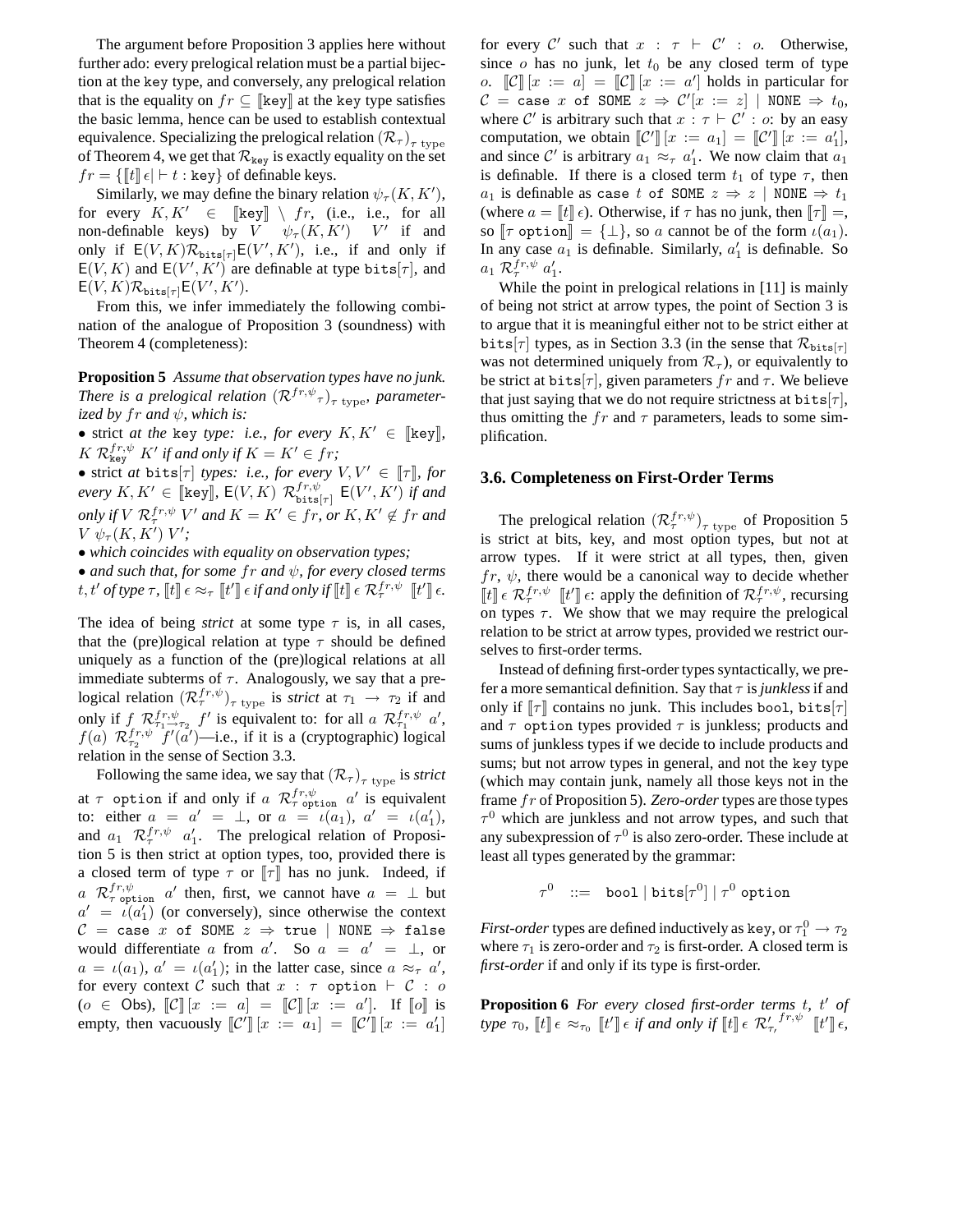The argument before Proposition 3 applies here without further ado: every prelogical relation must be a partial bijection at the key type, and conversely, any prelogical relation that is the equality on  $fr \subseteq \llbracket \text{key} \rrbracket$  at the key type satisfies the basic lemma, hence can be used to establish contextual equivalence. Specializing the prelogical relation  $(\mathcal{R}_{\tau})_{\tau\;\mathrm{type}}$ of Theorem 4, we get that  $\mathcal{R}_{\text{key}}$  is exactly equality on the set  $fr = \{ \parallel t \parallel \epsilon \mid \vdash t : \text{key} \}$  of definable keys.

Similarly, we may define the binary relation  $\psi_{\tau}(K, K'),$ for every  $K, K' \in [\![ \text{key} ]\!] \setminus fr$ , (i.e., i.e., for all non-definable keys) by  $V \psi_\tau(K, K')$   $V'$  if and only if  $E(V, K) \mathcal{R}_{\text{bits}[\tau]} E(V', K')$ , i.e., if and only if  $E(V, K)$  and  $E(V', K')$  are definable at type bits[ $\tau$ ], and  $\mathsf{E}(V,K) \mathcal{R}_{\texttt{bits}[\tau]} \mathsf{E}(V',K').$ 

From this, we infer immediately the following combination of the analogue of Proposition 3 (soundness) with Theorem 4 (completeness):

**Proposition 5** *Assume that observation types have no junk. There is a prelogical relation*  $(\mathcal{R}^{fr,\psi})_{\tau \text{ type}}$ , parameter*ized by*  $fr$  *and*  $\psi$ *, which is:* 

• strict *at the* key *type: i.e., for every*  $K, K' \in \llbracket \text{key} \rrbracket$ ,  $K$   $\mathcal{R}_{\text{key}}^{fr,\psi}$   $K'$  if and only if  $K = K' \in fr$ ;

• strict *at* bits[ $\tau$ ] *types: i.e., for every*  $V, V' \in [\![\tau]\!]$ *, for*  $\textit{every } K, K' \in \llbracket \texttt{key} \rrbracket, \, \mathsf{E}(V,K) \,\, \mathcal{R}_{\texttt{bits}}^{fr, \psi}$  $_{\texttt{bits}[\tau]}^{fr,\psi}$   $\mathsf{E}(V',K')$  if and *only if*  $V$   $\mathcal{R}_{\tau}^{fr,\psi}$   $V'$  and  $K = K' \in fr$ , or  $K, K' \notin fr$  and  $V \psi_{\tau}(K,K') V';$ 

• *which coincides with equality on observation types;*

• *and such that, for some* fr *and* ψ*, for every closed terms* t, t' of type  $\tau$ ,  $[[t]] \in \approx_{\tau} [[t']] \in \mathcal{H}$  and only if  $[[t]] \in \mathcal{R}^{fr,\psi}_\tau [[t']] \in$ .

The idea of being *strict* at some type  $\tau$  is, in all cases, that the (pre)logical relation at type  $\tau$  should be defined uniquely as a function of the (pre)logical relations at all immediate subterms of  $\tau$ . Analogously, we say that a prelogical relation  $(\mathcal{R}_{\tau}^{fr,\psi})_{\tau \text{ type}}$  is *strict* at  $\tau_1 \to \tau_2$  if and only if  $f \mathcal{R}_{\tau_1 \to \tau_2}^{fr, \psi} f'$  is equivalent to: for all  $a \mathcal{R}_{\tau_1}^{fr, \psi} a'$ ,  $f(a)$   $\mathcal{R}_{\tau_2}^{fr,\psi} f'(\tilde{a}')$  -i.e., if it is a (cryptographic) logical relation in the sense of Section 3.3.

Following the same idea, we say that  $(\mathcal{R}_{\tau})_{\tau\ \text{type}}$  is *strict* at  $\tau$  option if and only if a  $\mathcal{R}_{\tau}^{fr,\psi}$  option  $a'$  is equivalent to: either  $a = a' = \perp$ , or  $a = \iota(a_1)$ ,  $a' = \iota(a'_1)$ , and  $a_1$   $\mathcal{R}_{\tau}^{fr,\psi}$   $a'_1$ . The prelogical relation of Proposition 5 is then strict at option types, too, provided there is a closed term of type  $\tau$  or  $[\![\tau]\!]$  has no junk. Indeed, if  $a \mathcal{R}_{\tau}^{fr,\psi}$  option a' then, first, we cannot have  $a = \bot$  but  $a' = \iota(a'_1)$  (or conversely), since otherwise the context  $C = \text{case } x$  of SOME  $z \Rightarrow \text{true}$  | NONE  $\Rightarrow$  false would differentiate a from a'. So  $a = a' = \perp$ , or  $a = \iota(a_1)$ ,  $a' = \iota(a'_1)$ ; in the latter case, since  $a \approx_{\tau} a'$ , for every context C such that  $x : \tau$  option  $\vdash C : o$  $(o \in \text{Obs}), [\![\mathcal{C}]\!] [x := a] = [\![\mathcal{C}]\!] [x := a']$ . If  $[\![o]\!]$  is empty, then vacuously  $\llbracket \mathcal{C}' \rrbracket [x := a_1] = \llbracket \mathcal{C}' \rrbracket [x := a'_1]$ 

for every  $C'$  such that  $x : \tau \vdash C' : o$ . Otherwise, since  $o$  has no junk, let  $t_0$  be any closed term of type o.  $\llbracket \mathcal{C} \rrbracket [x := a] = \llbracket \mathcal{C} \rrbracket [x := a']$  holds in particular for  $\mathcal{C}$  = case  $x$  of SOME  $z \Rightarrow \mathcal{C}'[x := z] \,\mid$  NONE  $\Rightarrow t_0$ , where C' is arbitrary such that  $x : \tau \vdash C' : o:$  by an easy computation, we obtain  $\llbracket \mathcal{C}' \rrbracket [x := a_1] = \llbracket \mathcal{C}' \rrbracket [x := a'_1],$ and since C' is arbitrary  $a_1 \approx_\tau a'_1$ . We now claim that  $a_1$ is definable. If there is a closed term  $t_1$  of type  $\tau$ , then a<sub>1</sub> is definable as case t of SOME  $z \Rightarrow z$  | NONE  $\Rightarrow t_1$ (where  $a = \llbracket t \rrbracket \epsilon$ ). Otherwise, if  $\tau$  has no junk, then  $\llbracket \tau \rrbracket =$ , so  $[\![\tau \text{ option}]\!] = {\{\bot\}}$ , so a cannot be of the form  $\iota(a_1)$ . In any case  $a_1$  is definable. Similarly,  $a'_1$  is definable. So  $a_1 \mathcal{R}_{\tau}^{fr, \psi}$   $a'_1$ .

While the point in prelogical relations in [11] is mainly of being not strict at arrow types, the point of Section 3 is to argue that it is meaningful either not to be strict either at bits[ $\tau$ ] types, as in Section 3.3 (in the sense that  $\mathcal{R}_{\text{bits}}[\tau]$ was not determined uniquely from  $\mathcal{R}_{\tau}$ ), or equivalently to be strict at bits[ $\tau$ ], given parameters fr and  $\tau$ . We believe that just saying that we do not require strictness at  $bits[\tau]$ , thus omitting the fr and  $\tau$  parameters, leads to some simplification.

# **3.6. Completeness on First-Order Terms**

The prelogical relation  $(\mathcal{R}_{\tau}^{fr,\psi})_{\tau \text{ type}}$  of Proposition 5 is strict at bits, key, and most option types, but not at arrow types. If it were strict at all types, then, given  $fr, \psi$ , there would be a canonical way to decide whether  $[[t]] \in \mathcal{R}_{\tau}^{fr,\psi}$   $[[t']] \in \mathcal{E}$  apply the definition of  $\mathcal{R}_{\tau}^{fr,\psi}$ , recursing on types  $\tau$ . We show that we may require the prelogical relation to be strict at arrow types, provided we restrict ourselves to first-order terms.

Instead of defining first-order types syntactically, we prefer a more semantical definition. Say that τ is *junkless*if and only if  $\llbracket \tau \rrbracket$  contains no junk. This includes bool, bits $\llbracket \tau \rrbracket$ and  $\tau$  option types provided  $\tau$  is junkless; products and sums of junkless types if we decide to include products and sums; but not arrow types in general, and not the key type (which may contain junk, namely all those keys not in the frame fr of Proposition 5). *Zero-order* types are those types  $\tau$ <sup>0</sup> which are junkless and not arrow types, and such that any subexpression of  $\tau^0$  is also zero-order. These include at least all types generated by the grammar:

$$
\tau^0 \ \ ::= \ \ \texttt{bool} \ | \ \texttt{bits}[\tau^0] \ | \ \tau^0 \ \texttt{option}
$$

*First-order* types are defined inductively as key, or  $\tau_1^0 \rightarrow \tau_2$ where  $\tau_1$  is zero-order and  $\tau_2$  is first-order. A closed term is *first-order* if and only if its type is first-order.

**Proposition 6** *For every closed first-order terms* t*,* t ′ *of type*  $\tau_0$ ,  $[t] \in \approx_{\tau_0} [t'] \in \text{if and only if } [t] \in \mathcal{R}'_{\tau}$ ,  $f^{r,\psi} [t'] \in$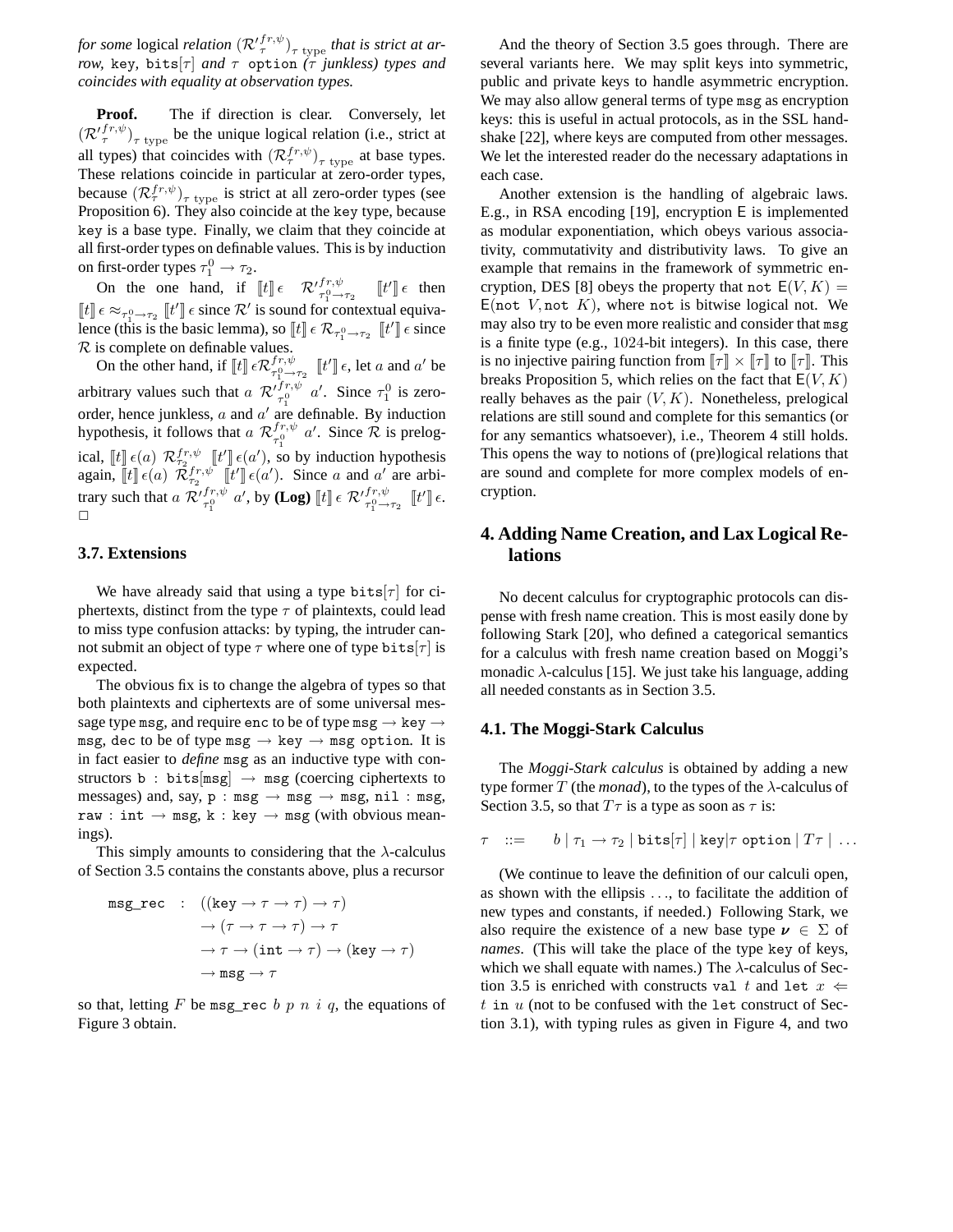*for some* logical *relation*  $(\mathcal{R'}_{\tau}^{fr,\psi})_{\tau \text{ type }}$  *that is strict at arrow,* key, bits[ $\tau$ ] *and*  $\tau$  option ( $\tau$  *junkless) types and coincides with equality at observation types.*

**Proof.** The if direction is clear. Conversely, let  $(\mathcal{R'}_{\tau}^{f,r,\psi})_{\tau \text{ type}}$  be the unique logical relation (i.e., strict at all types) that coincides with  $(\mathcal{R}_{\tau}^{fr,\psi})_{\tau \text{ type}}$  at base types. These relations coincide in particular at zero-order types, because  $(\mathcal{R}_{\tau}^{fr,\psi})_{\tau \text{ type }}$  is strict at all zero-order types (see Proposition 6). They also coincide at the key type, because key is a base type. Finally, we claim that they coincide at all first-order types on definable values. This is by induction on first-order types  $\tau_1^0 \rightarrow \tau_2$ .

On the one hand, if  $[[t]] \in \mathcal{R}'^{fr,\psi}_{\tau_1^0 \to \tau_2}$   $[[t']] \in \mathcal{R}$  $[[t]] \epsilon \approx_{\tau_1^0 \to \tau_2} [[t]] \epsilon$  since  $\mathcal{R}'$  is sound for contextual equivalence (this is the basic lemma), so  $[[t]] \in \mathcal{R}_{\tau_1^0 \to \tau_2}$   $[[t']] \in \text{since}$  $\mathcal R$  is complete on definable values.

On the other hand, if  $\llbracket t \rrbracket \in \mathcal{R}_{\tau_1^0 \to \tau_2^0}^{fr, \psi}$  $\int_{\tau_1^0 \to \tau_2}^{fr, \psi} [[t']] \epsilon$ , let a and a' be arbitrary values such that  $a \mathcal{R}'^{fr,\psi}_{\tau_1^0} a'$ . Since  $\tau_1^0$  is zeroorder, hence junkless,  $a$  and  $a'$  are definable. By induction hypothesis, it follows that  $a \mathcal{R}_{\tau,0}^{fr,\psi}$  $f_{\tau_1^0}^{fr,\psi}$  a'. Since  $\mathcal R$  is prelogical,  $[[t]] \in (a)$   $\mathcal{R}_{\tau_2}^{fr,\psi}[[t]] \in (a'),$  so by induction hypothesis again,  $[[t]] \epsilon(a) \tilde{\mathcal{R}}_{\tau_2}^{fr,\psi}[[t]] \epsilon(a')$ . Since a and  $a'$  are arbitrary such that  $a \mathcal{R}'_{\tau_1^0}^{fr,\psi} a'$ , by **(Log)**  $[\![t]\!] \in \mathcal{R}'_{\tau_1^0 \to \tau_2}^{fr,\psi} [\![t']\!] \in$ .  $\Box$ 

## **3.7. Extensions**

We have already said that using a type bits  $|\tau|$  for ciphertexts, distinct from the type  $\tau$  of plaintexts, could lead to miss type confusion attacks: by typing, the intruder cannot submit an object of type  $\tau$  where one of type bits[ $\tau$ ] is expected.

The obvious fix is to change the algebra of types so that both plaintexts and ciphertexts are of some universal message type msg, and require enc to be of type msg  $\rightarrow$  key  $\rightarrow$ msg, dec to be of type msg  $\rightarrow$  key  $\rightarrow$  msg option. It is in fact easier to *define* msg as an inductive type with constructors b : bits[msg]  $\rightarrow$  msg (coercing ciphertexts to messages) and, say,  $p : msg \rightarrow msg \rightarrow msg$ , nil: msg, raw : int  $\rightarrow$  msg, k : key  $\rightarrow$  msg (with obvious meanings).

This simply amounts to considering that the  $\lambda$ -calculus of Section 3.5 contains the constants above, plus a recursor

$$
\begin{array}{ll}\texttt{msg\_rec} & : & ((\texttt{key} \to \tau \to \tau) \to \tau) \\ & \to (\tau \to \tau \to \tau) \to \tau \\ & \to \tau \to (\texttt{int} \to \tau) \to (\texttt{key} \to \tau) \\ & \to \texttt{msg} \to \tau\end{array}
$$

so that, letting F be msg\_rec b p n i q, the equations of Figure 3 obtain.

And the theory of Section 3.5 goes through. There are several variants here. We may split keys into symmetric, public and private keys to handle asymmetric encryption. We may also allow general terms of type msg as encryption keys: this is useful in actual protocols, as in the SSL handshake [22], where keys are computed from other messages. We let the interested reader do the necessary adaptations in each case.

Another extension is the handling of algebraic laws. E.g., in RSA encoding [19], encryption E is implemented as modular exponentiation, which obeys various associativity, commutativity and distributivity laws. To give an example that remains in the framework of symmetric encryption, DES [8] obeys the property that not  $E(V, K) =$  $E(\text{not } V, \text{not } K)$ , where not is bitwise logical not. We may also try to be even more realistic and consider that msg is a finite type (e.g., 1024-bit integers). In this case, there is no injective pairing function from  $\llbracket \tau \rrbracket \times \llbracket \tau \rrbracket$  to  $\llbracket \tau \rrbracket$ . This breaks Proposition 5, which relies on the fact that  $E(V, K)$ really behaves as the pair  $(V, K)$ . Nonetheless, prelogical relations are still sound and complete for this semantics (or for any semantics whatsoever), i.e., Theorem 4 still holds. This opens the way to notions of (pre)logical relations that are sound and complete for more complex models of encryption.

# **4. Adding Name Creation, and Lax Logical Relations**

No decent calculus for cryptographic protocols can dispense with fresh name creation. This is most easily done by following Stark [20], who defined a categorical semantics for a calculus with fresh name creation based on Moggi's monadic  $\lambda$ -calculus [15]. We just take his language, adding all needed constants as in Section 3.5.

#### **4.1. The Moggi-Stark Calculus**

The *Moggi-Stark calculus* is obtained by adding a new type former T (the *monad*), to the types of the  $\lambda$ -calculus of Section 3.5, so that  $T\tau$  is a type as soon as  $\tau$  is:

$$
\tau \hspace{2mm} ::= \hspace{2mm} b \hspace{2mm} | \hspace{2mm} \tau_1 \rightarrow \tau_2 \hspace{2mm} | \hspace{2mm} \texttt{bits}[\tau] \hspace{2mm} | \hspace{2mm} \texttt{key}|\tau \hspace{2mm} \texttt{option} \hspace{2mm} | \hspace{2mm} T\tau \hspace{2mm} | \hspace{2mm} \dots
$$

(We continue to leave the definition of our calculi open, as shown with the ellipsis . . ., to facilitate the addition of new types and constants, if needed.) Following Stark, we also require the existence of a new base type  $\nu \in \Sigma$  of *names*. (This will take the place of the type key of keys, which we shall equate with names.) The  $\lambda$ -calculus of Section 3.5 is enriched with constructs val t and let  $x \leftarrow$ t in  $u$  (not to be confused with the let construct of Section 3.1), with typing rules as given in Figure 4, and two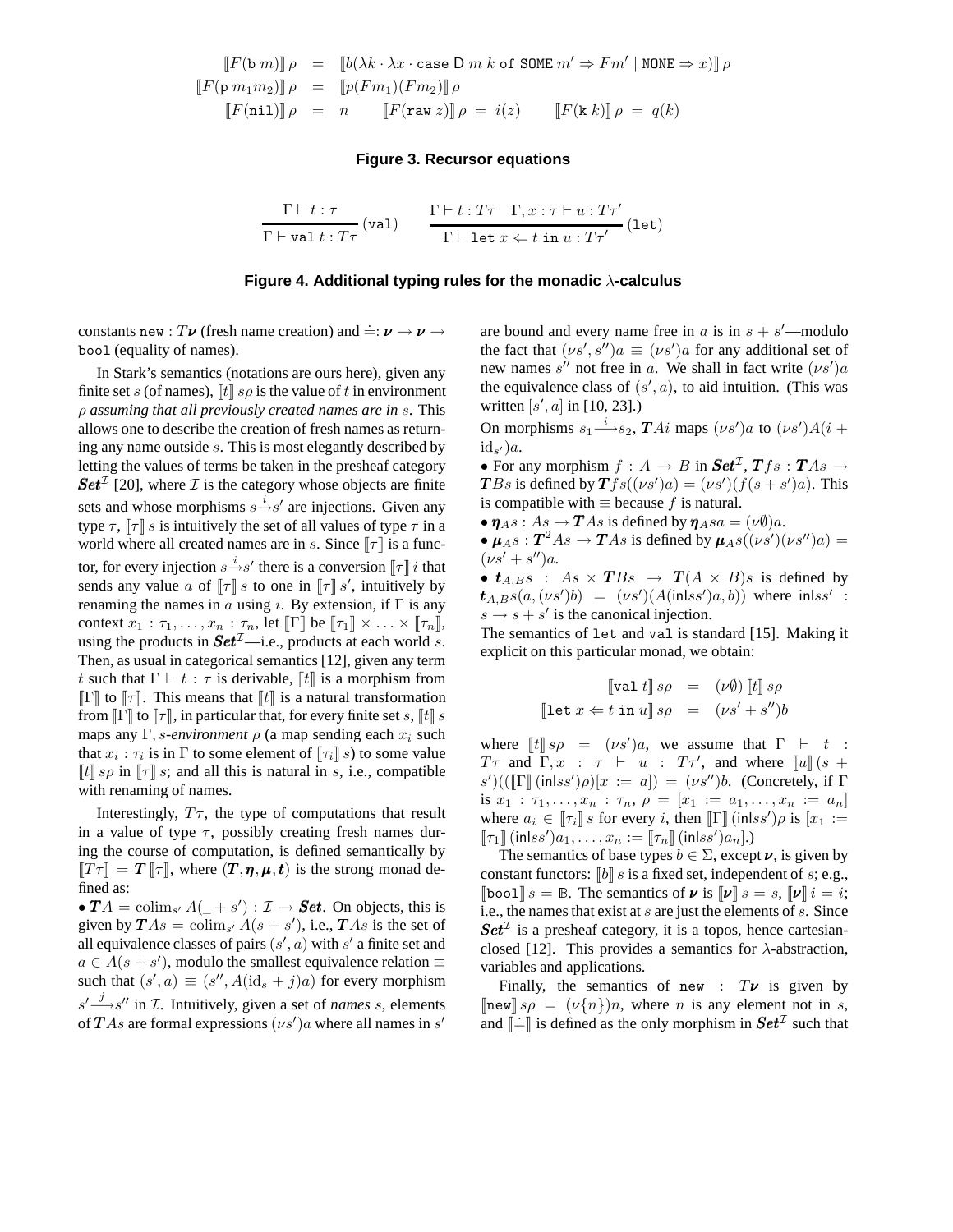$$
\begin{array}{rcl}\n\llbracket F(\mathbf{b} \ m) \rrbracket \rho & = & \llbracket b(\lambda k \cdot \lambda x \cdot \text{case D } m \ k \ \text{of } \text{SOME } m' \Rightarrow Fm' \mid \text{NONE} \Rightarrow x) \rrbracket \rho \\
\llbracket F(\mathbf{p} \ m_1 m_2) \rrbracket \rho & = & \llbracket p(Fm_1)(Fm_2) \rrbracket \rho \\
\llbracket F(\text{nil}) \rrbracket \rho & = & n \qquad \llbracket F(\text{raw } z) \rrbracket \rho = i(z) \qquad \llbracket F(\mathbf{k} \ k) \rrbracket \rho = q(k)\n\end{array}
$$

#### **Figure 3. Recursor equations**

$$
\frac{\Gamma\vdash t:\tau}{\Gamma\vdash \texttt{val}\,t:T\tau}\,(\texttt{val})\qquad \frac{\Gamma\vdash t:T\tau\quad \Gamma,x:\tau\vdash u:T\tau'}{\Gamma\vdash \texttt{let}\,x\Leftarrow t\;\texttt{in}\,u:T\tau'}\,(\texttt{let})
$$

#### **Figure 4. Additional typing rules for the monadic** λ**-calculus**

constants new :  $T\boldsymbol{\nu}$  (fresh name creation) and  $\dot{=}: \boldsymbol{\nu} \to \boldsymbol{\nu} \to$ bool (equality of names).

In Stark's semantics (notations are ours here), given any finite set s (of names),  $\llbracket t \rrbracket$  s  $\rho$  is the value of t in environment ρ *assuming that all previously created names are in* s. This allows one to describe the creation of fresh names as returning any name outside s. This is most elegantly described by letting the values of terms be taken in the presheaf category Set<sup>T</sup> [20], where T is the category whose objects are finite sets and whose morphisms  $s \xrightarrow{i} s'$  are injections. Given any type  $\tau$ ,  $\lbrack \tau \rbrack$  s is intuitively the set of all values of type  $\tau$  in a world where all created names are in s. Since  $\llbracket \tau \rrbracket$  is a functor, for every injection  $s \xrightarrow{i} s'$  there is a conversion  $[\![\tau]\!]$  *i* that sends any value a of  $[\![\tau]\!]$  s to one in  $[\![\tau]\!]$  s', intuitively by renaming the names in a using i. By extension, if  $\Gamma$  is any context  $x_1 : \tau_1, \ldots, x_n : \tau_n$ , let  $\llbracket \Gamma \rrbracket$  be  $\llbracket \tau_1 \rrbracket \times \ldots \times \llbracket \tau_n \rrbracket$ , using the products in  $Set^{\mathcal{I}}$ —i.e., products at each world s. Then, as usual in categorical semantics [12], given any term t such that  $\Gamma \vdash t : \tau$  is derivable,  $\llbracket t \rrbracket$  is a morphism from  $\llbracket \Gamma \rrbracket$  to  $\llbracket \tau \rrbracket$ . This means that  $\llbracket t \rrbracket$  is a natural transformation from  $\llbracket \Gamma \rrbracket$  to  $\llbracket \tau \rrbracket$ , in particular that, for every finite set s,  $\llbracket t \rrbracket$  s maps any  $\Gamma$ , *s*-environment  $\rho$  (a map sending each  $x_i$  such that  $x_i : \tau_i$  is in  $\Gamma$  to some element of  $[\![\tau_i]\!]$  s) to some value  $\llbracket t \rrbracket$  s<sub>ρ</sub> in  $\llbracket \tau \rrbracket$  s; and all this is natural in s, i.e., compatible with renaming of names.

Interestingly,  $T_{\tau}$ , the type of computations that result in a value of type  $\tau$ , possibly creating fresh names during the course of computation, is defined semantically by  $TT\tau$  =  $T\tau$ , where  $(T, \eta, \mu, t)$  is the strong monad defined as:

•  $TA = \text{colim}_{s'} A(1 + s') : \mathcal{I} \to \mathbf{Set}.$  On objects, this is given by  $TAs = \text{colim}_{s'} A(s + s')$ , i.e.,  $TAs$  is the set of all equivalence classes of pairs  $(s', a)$  with  $s'$  a finite set and  $a \in A(s + s')$ , modulo the smallest equivalence relation  $\equiv$ such that  $(s', a) \equiv (s'', A(\mathrm{id}_s + j)a)$  for every morphism  $s' \rightarrow s''$  in *T*. Intuitively, given a set of *names s*, elements of  $TAs$  are formal expressions  $(\nu s')a$  where all names in  $s'$ 

are bound and every name free in  $a$  is in  $s + s'$ —modulo the fact that  $(\nu s', s'')a \equiv (\nu s')a$  for any additional set of new names s'' not free in a. We shall in fact write  $(\nu s')a$ the equivalence class of  $(s', a)$ , to aid intuition. (This was written  $[s', a]$  in [10, 23].)

On morphisms  $s_1 \stackrel{i}{\longrightarrow} s_2$ ,  $TAi$  maps  $(\nu s')a$  to  $(\nu s')A(i +$  $\mathrm{id}_{s'})a.$ 

• For any morphism  $f : A \rightarrow B$  in  $\mathbf{Set}^{\mathcal{I}}, \mathbf{T} f s : \mathbf{T} A s \rightarrow$ **T**Bs is defined by  $\mathbf{T} f s((\nu s')a) = (\nu s')(f(s + s')a)$ . This is compatible with  $\equiv$  because f is natural.

•  $\eta_{A}s: As \to TAs$  is defined by  $\eta_{A}sa = (\nu \emptyset)a$ .

•  $\mu_{A} s : T^2 A s \rightarrow T A s$  is defined by  $\mu_{A} s((\nu s')(\nu s'') a) =$  $(\nu s' + s'')a.$ 

•  $t_{A,B} s$  :  $As \times TBs \rightarrow T(A \times B)s$  is defined by  $t_{A,B} s(a, (\nu s')b) = (\nu s')(A(\text{in} l s s')a, b)$  where  $\text{in} l s s'$ :  $s \rightarrow s + s'$  is the canonical injection.

The semantics of let and val is standard [15]. Making it explicit on this particular monad, we obtain:

$$
\llbracket \mathtt{val} \ t \rrbracket \ s\rho \ = \ (\nu \emptyset) \llbracket t \rrbracket \ s\rho
$$
\n
$$
\llbracket \mathtt{let} \ x \Leftarrow t \ \mathtt{in} \ u \rrbracket \ s\rho \ = \ (\nu s' + s'')b
$$

where  $[[t]]s\rho = (\nu s')a$ , we assume that  $\Gamma \vdash t :$  $T\tau$  and  $\Gamma, x : \tau \vdash u : T\tau'$ , and where  $\llbracket u \rrbracket$  (s +  $(s')((\llbracket \Gamma \rrbracket \text{ (inlss')}\rho)[x := a]) = (\nu s'')b.$  (Concretely, if  $\Gamma$ is  $x_1 : \tau_1, \ldots, x_n : \tau_n, \rho = [x_1 := a_1, \ldots, x_n := a_n]$ where  $a_i \in [\![\tau_i]\!]$  s for every i, then  $[\![\Gamma]\!]$  (inlss') $\rho$  is  $[x_1 :=$  $\llbracket \tau_1 \rrbracket$  (inlss') $a_1, \ldots, x_n := \llbracket \tau_n \rrbracket$  (inlss') $a_n$ ].)

The semantics of base types  $b \in \Sigma$ , except  $\nu$ , is given by constant functors:  $\llbracket b \rrbracket s$  is a fixed set, independent of s; e.g.,  $\llbracket \text{bool} \rrbracket s = \mathbb{B}$ . The semantics of  $\nu$  is  $\llbracket \nu \rrbracket s = s$ ,  $\llbracket \nu \rrbracket i = i$ ; i.e., the names that exist at s are just the elements of s. Since  $Set^{\mathcal{I}}$  is a presheaf category, it is a topos, hence cartesianclosed [12]. This provides a semantics for  $\lambda$ -abstraction, variables and applications.

Finally, the semantics of new :  $T\boldsymbol{\nu}$  is given by  $\ln \text{ew}$   $s\rho = (\nu\{n\})n$ , where *n* is any element not in *s*, and  $\left[\dot{=}\right]$  is defined as the only morphism in  $Set^{\mathcal{I}}$  such that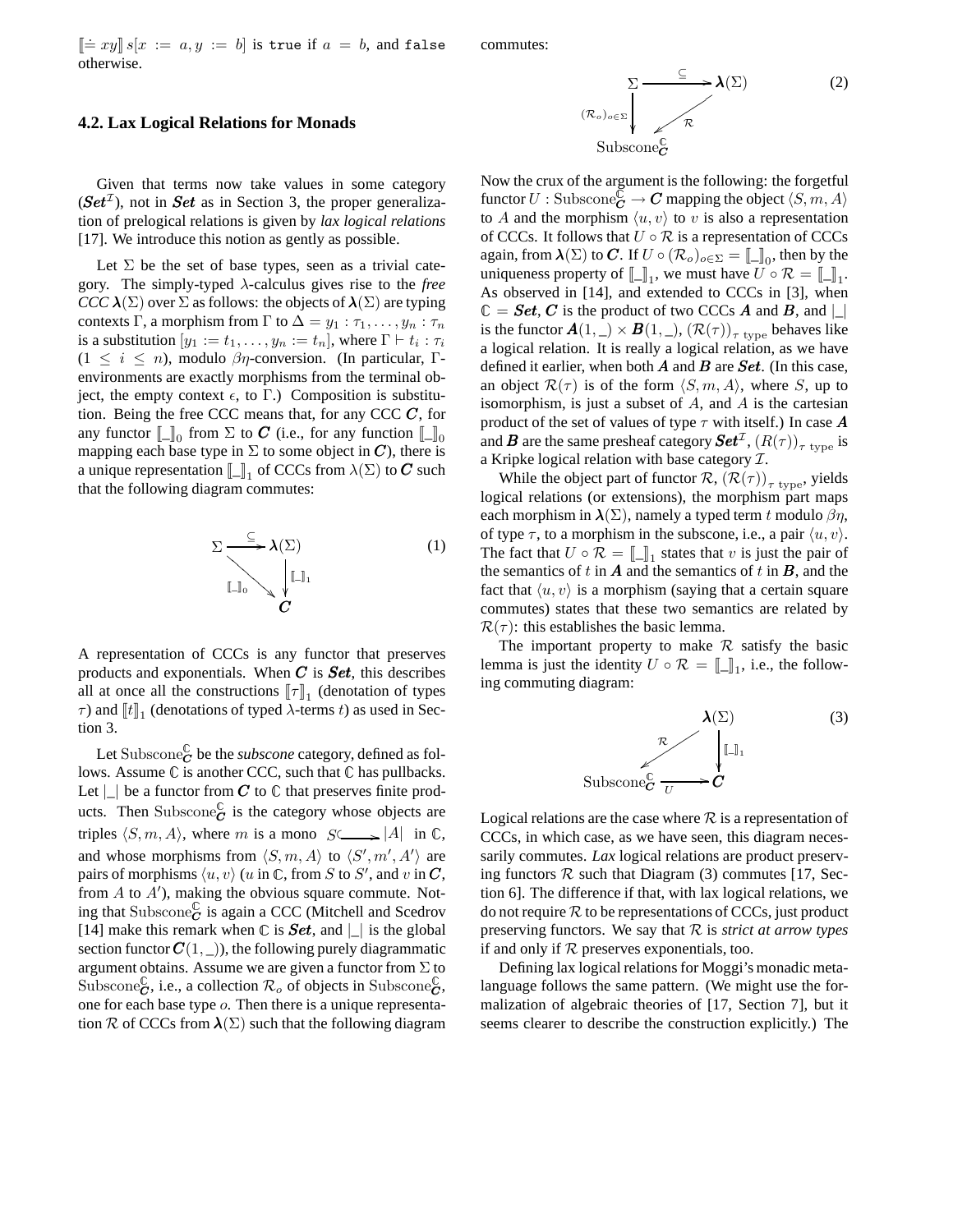$\[\equiv xy\] s[x := a, y := b]$  is true if  $a = b$ , and false otherwise. commutes:

#### **4.2. Lax Logical Relations for Monads**

Given that terms now take values in some category  $(Set^{\mathcal{I}})$ , not in **Set** as in Section 3, the proper generalization of prelogical relations is given by *lax logical relations* [17]. We introduce this notion as gently as possible.

Let  $\Sigma$  be the set of base types, seen as a trivial category. The simply-typed λ-calculus gives rise to the *free CCC*  $\lambda(\Sigma)$  over  $\Sigma$  as follows: the objects of  $\lambda(\Sigma)$  are typing contexts Γ, a morphism from Γ to  $\Delta = y_1 : \tau_1, \ldots, y_n : \tau_n$ is a substitution  $[y_1 := t_1, \ldots, y_n := t_n]$ , where  $\Gamma \vdash t_i : \tau_i$  $(1 \leq i \leq n)$ , modulo  $\beta \eta$ -conversion. (In particular, Γenvironments are exactly morphisms from the terminal object, the empty context  $\epsilon$ , to Γ.) Composition is substitution. Being the free CCC means that, for any CCC  $C$ , for any functor  $\llbracket \_\rrbracket_0$  from  $\Sigma$  to  $C$  (i.e., for any function  $\llbracket \_\rrbracket_0$ mapping each base type in  $\Sigma$  to some object in  $C$ ), there is a unique representation  $\llbracket \_\rrbracket_1$  of CCCs from  $\lambda(\Sigma)$  to C such that the following diagram commutes:

$$
\Sigma \longrightarrow \lambda(\Sigma) \qquad (1)
$$
\n
$$
\downarrow \qquad \qquad \downarrow \qquad (1)
$$
\n
$$
\downarrow \qquad \qquad \downarrow \qquad \qquad (2)
$$

A representation of CCCs is any functor that preserves products and exponentials. When  $C$  is  $Set$ , this describes all at once all the constructions  $[\![\tau]\!]_1$  (denotation of types  $\tau$ ) and  $[[t]]_1$  (denotations of typed  $\lambda$ -terms t) as used in Section 3.

Let Subscone $\mathcal{\breve{C}}$  be the *subscone* category, defined as follows. Assume  $\mathbb C$  is another CCC, such that  $\mathbb C$  has pullbacks. Let  $\lfloor \cdot \rfloor$  be a functor from C to  $\mathbb C$  that preserves finite products. Then Subscone $\mathcal{C}'$  is the category whose objects are triples  $\langle S, m, A \rangle$ , where m is a mono  $S \longrightarrow |A|$  in  $\mathbb{C}$ , and whose morphisms from  $\langle S, m, A \rangle$  to  $\langle S', m', A' \rangle$  are pairs of morphisms  $\langle u, v \rangle$  (u in  $\mathbb C$ , from S to S', and v in  $\mathbb C$ , from  $A$  to  $A'$ ), making the obvious square commute. Noting that Subscone $_{C}^{\mathbb{C}}$  is again a CCC (Mitchell and Scedrov [14] make this remark when  $\mathbb C$  is **Set**, and  $| \_ |$  is the global section functor  $C(1, \_))$ , the following purely diagrammatic argument obtains. Assume we are given a functor from  $\Sigma$  to Subscone $\overset{\circ}{c}$ , i.e., a collection  $\mathcal{R}_o$  of objects in Subscone $\overset{\circ}{c}$ , one for each base type o. Then there is a unique representation R of CCCs from  $\lambda(\Sigma)$  such that the following diagram



Now the crux of the argument is the following: the forgetful functor  $U: \mathrm{Subscore}_{\mathbf{C}}^{\mathbb{C}} \to \mathbf{C}$  mapping the object  $\langle S, m, A \rangle$ to A and the morphism  $\langle u, v \rangle$  to v is also a representation of CCCs. It follows that  $U \circ \mathcal{R}$  is a representation of CCCs again, from  $\lambda(\Sigma)$  to C. If  $U \circ (\mathcal{R}_o)_{o \in \Sigma} = [\![\underline{\ }],$  then by the uniqueness property of  $[\![\_]\!]_1$ , we must have  $U \circ \mathcal{R} = [\![\_]\!]_1$ . As observed in [14], and extended to CCCs in [3], when  $\mathbb{C} = \textit{Set}, \textit{C}$  is the product of two CCCs  $\textit{A}$  and  $\textit{B}$ , and  $|\text{B}|\$ is the functor  $A(1, \_) \times B(1, \_)$ ,  $(\mathcal{R}(\tau))_{\tau \text{ type}}$  behaves like a logical relation. It is really a logical relation, as we have defined it earlier, when both  $A$  and  $B$  are  $Set$ . (In this case, an object  $\mathcal{R}(\tau)$  is of the form  $\langle S, m, A \rangle$ , where S, up to isomorphism, is just a subset of  $A$ , and  $A$  is the cartesian product of the set of values of type  $\tau$  with itself.) In case **A** and  $\bm{B}$  are the same presheaf category  $\bm{Set}^{\mathcal{I}}, \left(R(\tau)\right)_{\tau\ \text{type}}$  is a Kripke logical relation with base category  $\mathcal{I}$ .

While the object part of functor  $\mathcal{R}, (\mathcal{R}(\tau))_{\tau \text{ type}}$ , yields logical relations (or extensions), the morphism part maps each morphism in  $\lambda(\Sigma)$ , namely a typed term t modulo  $\beta\eta$ , of type  $\tau$ , to a morphism in the subscone, i.e., a pair  $\langle u, v \rangle$ . The fact that  $U \circ \mathcal{R} = \llbracket \_ \rrbracket_1$  states that v is just the pair of the semantics of t in  $A$  and the semantics of t in  $B$ , and the fact that  $\langle u, v \rangle$  is a morphism (saying that a certain square commutes) states that these two semantics are related by  $\mathcal{R}(\tau)$ : this establishes the basic lemma.

The important property to make  $R$  satisfy the basic lemma is just the identity  $U \circ \mathcal{R} = [\![\_]\!]_1$ , i.e., the following commuting diagram:



Logical relations are the case where  $R$  is a representation of CCCs, in which case, as we have seen, this diagram necessarily commutes. *Lax* logical relations are product preserving functors  $R$  such that Diagram (3) commutes [17, Section 6]. The difference if that, with lax logical relations, we do not require  $R$  to be representations of CCCs, just product preserving functors. We say that R is *strict at arrow types* if and only if  $R$  preserves exponentials, too.

Defining lax logical relations for Moggi's monadic metalanguage follows the same pattern. (We might use the formalization of algebraic theories of [17, Section 7], but it seems clearer to describe the construction explicitly.) The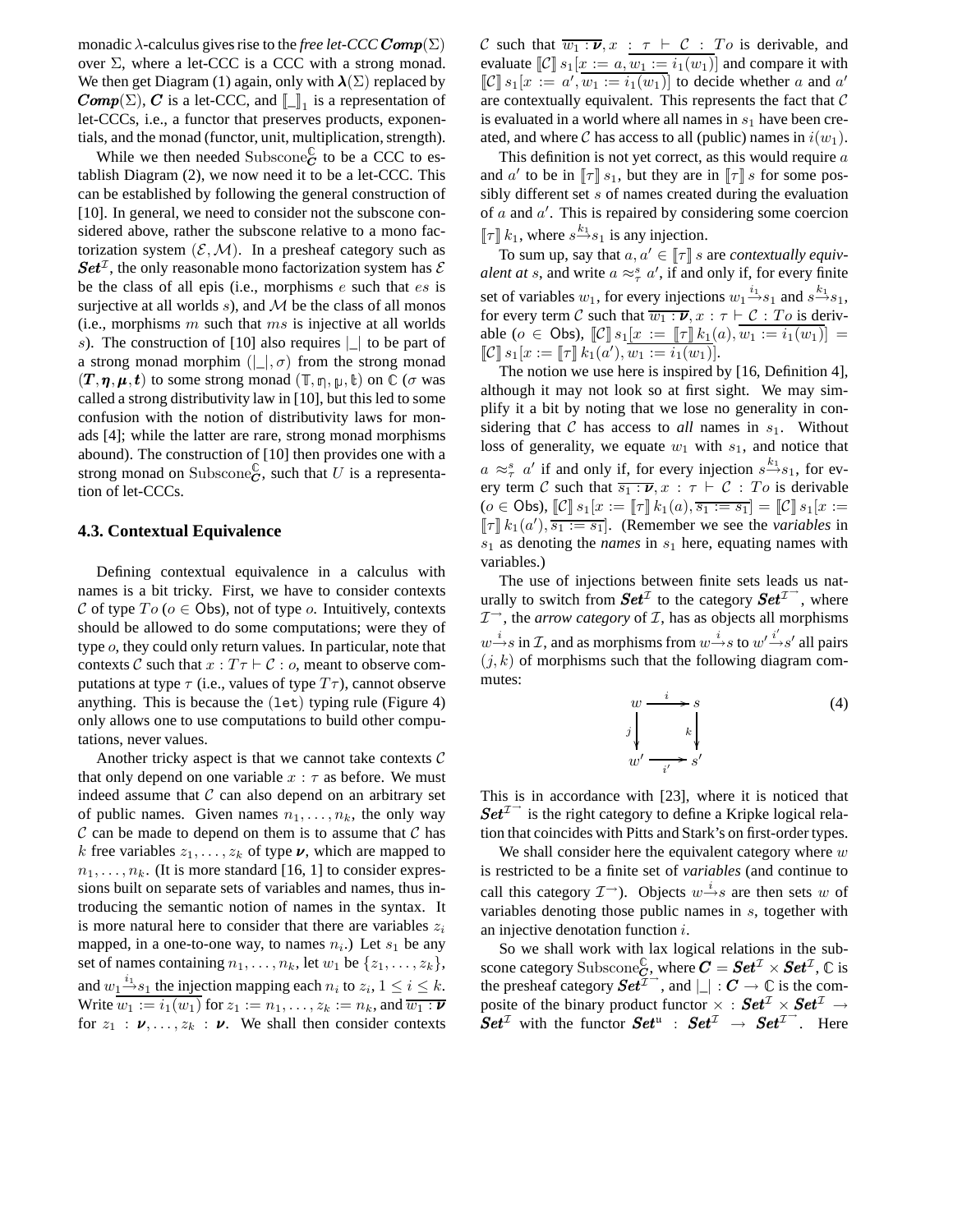monadic  $\lambda$ -calculus gives rise to the *free let-CCC* Comp( $\Sigma$ ) over  $\Sigma$ , where a let-CCC is a CCC with a strong monad. We then get Diagram (1) again, only with  $\lambda(\Sigma)$  replaced by **Comp**( $\Sigma$ ), **C** is a let-CCC, and  $\llbracket \_1 \rrbracket$  is a representation of let-CCCs, i.e., a functor that preserves products, exponentials, and the monad (functor, unit, multiplication, strength).

While we then needed Subscone $_{\mathbf{C}}^{\mathbb{C}}$  to be a CCC to establish Diagram (2), we now need it to be a let-CCC. This can be established by following the general construction of [10]. In general, we need to consider not the subscone considered above, rather the subscone relative to a mono factorization system  $(\mathcal{E}, \mathcal{M})$ . In a presheaf category such as  $\mathbf{Set}^{\mathcal{I}}$ , the only reasonable mono factorization system has  $\mathcal E$ be the class of all epis (i.e., morphisms  $e$  such that  $es$  is surjective at all worlds  $s$ ), and  $M$  be the class of all monos (i.e., morphisms  $m$  such that  $ms$  is injective at all worlds s). The construction of [10] also requires  $| \_ |$  to be part of a strong monad morphim  $(|$ ,  $\sigma$  from the strong monad  $(T, \eta, \mu, t)$  to some strong monad  $(\mathbb{T}, \eta, \mu, \mathbb{t})$  on  $\mathbb{C}$  ( $\sigma$  was called a strong distributivity law in [10], but this led to some confusion with the notion of distributivity laws for monads [4]; while the latter are rare, strong monad morphisms abound). The construction of [10] then provides one with a strong monad on Subscone $\overset{\circ}{c}$ , such that U is a representation of let-CCCs.

#### **4.3. Contextual Equivalence**

Defining contextual equivalence in a calculus with names is a bit tricky. First, we have to consider contexts C of type  $To$  ( $o \in \text{Obs}$ ), not of type  $o$ . Intuitively, contexts should be allowed to do some computations; were they of type o, they could only return values. In particular, note that contexts C such that  $x : T\tau \vdash C : o$ , meant to observe computations at type  $\tau$  (i.e., values of type  $T\tau$ ), cannot observe anything. This is because the (let) typing rule (Figure 4) only allows one to use computations to build other computations, never values.

Another tricky aspect is that we cannot take contexts  $\mathcal C$ that only depend on one variable  $x : \tau$  as before. We must indeed assume that  $\mathcal C$  can also depend on an arbitrary set of public names. Given names  $n_1, \ldots, n_k$ , the only way  $\mathcal C$  can be made to depend on them is to assume that  $\mathcal C$  has k free variables  $z_1, \ldots, z_k$  of type  $\nu$ , which are mapped to  $n_1, \ldots, n_k$ . (It is more standard [16, 1] to consider expressions built on separate sets of variables and names, thus introducing the semantic notion of names in the syntax. It is more natural here to consider that there are variables  $z_i$ mapped, in a one-to-one way, to names  $n_i$ .) Let  $s_1$  be any set of names containing  $n_1, \ldots, n_k$ , let  $w_1$  be  $\{z_1, \ldots, z_k\}$ , and  $w_1 \stackrel{i_1}{\longrightarrow} s_1$  the injection mapping each  $n_i$  to  $z_i$ ,  $1 \le i \le k$ . Write  $\overline{w_1 := i_1(w_1)}$  for  $z_1 := n_1, \ldots, z_k := n_k$ , and  $\overline{w_1 : \mathbf{v}}$ for  $z_1 : \nu, \ldots, z_k : \nu$ . We shall then consider contexts C such that  $\overline{w_1 : \nu}, x : \tau \vdash C : To$  is derivable, and evaluate  $\llbracket \mathcal{C} \rrbracket s_1[x := a, \overline{w_1 := i_1(w_1)}]$  and compare it with  $\llbracket \mathcal{C} \rrbracket s_1[x := a', \overline{w_1 := i_1(w_1)}]$  to decide whether a and a' are contextually equivalent. This represents the fact that  $C$ is evaluated in a world where all names in  $s_1$  have been created, and where C has access to all (public) names in  $i(w_1)$ .

This definition is not yet correct, as this would require  $a$ and a' to be in  $[\![\tau]\!] s_1$ , but they are in  $[\![\tau]\!] s$  for some possibly different set  $s$  of names created during the evaluation of  $a$  and  $a'$ . This is repaired by considering some coercion  $\llbracket \tau \rrbracket k_1$ , where  $s \xrightarrow{k_1} s_1$  is any injection.

To sum up, say that  $a, a' \in [\![\tau]\!]$  *s* are *contextually equivalent at* s, and write  $a \approx_{\tau}^{s} a'$ , if and only if, for every finite set of variables  $w_1$ , for every injections  $w_1 \stackrel{i_1}{\rightarrow} s_1$  and  $s \stackrel{k_1}{\rightarrow} s_1$ , for every term C such that  $\overline{w_1 : \nu}$ ,  $x : \tau \vdash C : To$  is derivable ( $o \in \text{Obs}$ ),  $\llbracket \mathcal{C} \rrbracket s_1[x := \llbracket \tau \rrbracket k_1(a), w_1 := i_1(w_1) \rrbracket =$  $\llbracket \mathcal{C} \rrbracket s_1[x := \llbracket \tau \rrbracket k_1(a'), \overline{w_1 := i_1(w_1)}].$ 

The notion we use here is inspired by [16, Definition 4], although it may not look so at first sight. We may simplify it a bit by noting that we lose no generality in considering that  $C$  has access to *all* names in  $s_1$ . Without loss of generality, we equate  $w_1$  with  $s_1$ , and notice that  $a \approx_{\tau}^{s} a'$  if and only if, for every injection  $s \stackrel{k_1}{\rightarrow} s_1$ , for every term C such that  $\overline{s_1 : v}$ ,  $x : \tau \vdash C : To$  is derivable  $(o \in \text{Obs})$ ,  $\llbracket \mathcal{C} \rrbracket s_1[x := \llbracket \tau \rrbracket k_1(a), \overline{s_1 := s_1} \rrbracket = \llbracket \mathcal{C} \rrbracket s_1[x :=$  $\llbracket \tau \rrbracket k_1(a'), \overline{s_1 := s_1}$ . (Remember we see the *variables* in  $s_1$  as denoting the *names* in  $s_1$  here, equating names with variables.)

The use of injections between finite sets leads us naturally to switch from  $\mathbf{Set}^{\mathcal{I}}$  to the category  $\mathbf{Set}^{\mathcal{I}^{\rightarrow}}$ , where  $\mathcal{I}^{\rightarrow}$ , the *arrow category* of  $\mathcal{I}$ , has as objects all morphisms  $w \stackrel{i}{\rightarrow} s$  in  $\mathcal{I}$ , and as morphisms from  $w \stackrel{i}{\rightarrow} s$  to  $w' \stackrel{i'}{\rightarrow} s'$  all pairs  $(i, k)$  of morphisms such that the following diagram commutes:

$$
w \xrightarrow{i} s
$$
  
\n
$$
y \downarrow k
$$
  
\n
$$
w' \xrightarrow{i'} s'
$$
 (4)

This is in accordance with [23], where it is noticed that  $Set^{\mathcal{I}^{\rightarrow}}$  is the right category to define a Kripke logical relation that coincides with Pitts and Stark's on first-order types.

We shall consider here the equivalent category where  $w$ is restricted to be a finite set of *variables* (and continue to call this category  $\mathcal{I}^{\rightarrow}$ ). Objects  $w \stackrel{i}{\rightarrow} s$  are then sets w of variables denoting those public names in s, together with an injective denotation function i.

So we shall work with lax logical relations in the subscone category Subscone $_{\mathbf{C}}^{\mathbb{C}},$  where  $\mathbf{\mathbf{\mathit{C}}}=\mathbf{\mathit{Set}}^{\mathcal{I}}\times\mathbf{\mathit{Set}}^{\mathcal{I}},\mathbb{C}$  is the presheaf category  $Set^{\overline{\mathcal{I}}^{\rightarrow}}$ , and  $|\_ | : \mathcal{C} \rightarrow \mathbb{C}$  is the composite of the binary product functor  $\times : \mathbf{Set}^{\mathcal{I}} \times \mathbf{Set}^{\mathcal{I}} \rightarrow$  $Set^{\mathcal{I}}$  with the functor  $Set^{\mathcal{I}}$  :  $Set^{\mathcal{I}} \rightarrow Set^{\mathcal{I}}$ . Here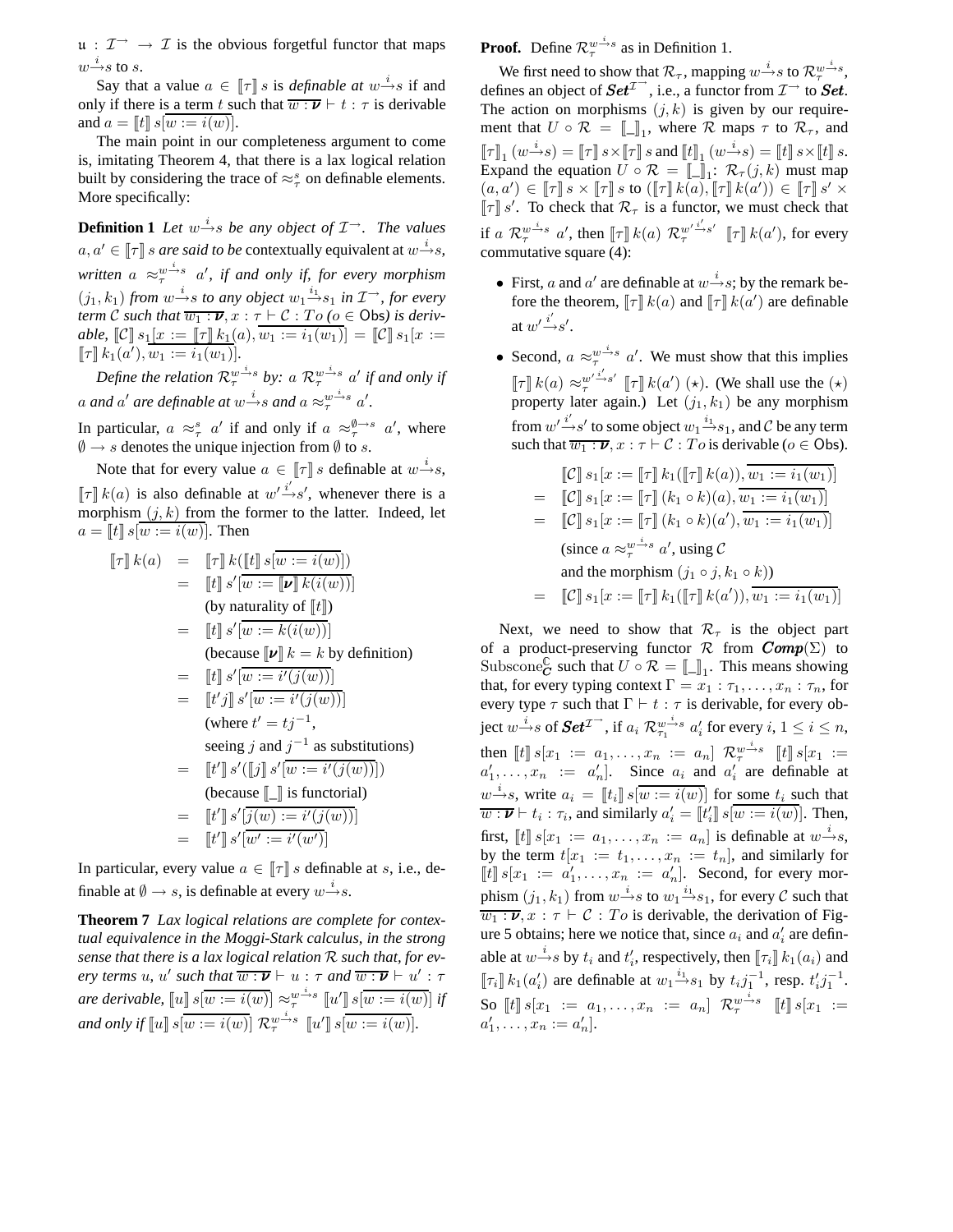$u : \mathcal{I} \rightarrow \mathcal{I}$  is the obvious forgetful functor that maps  $w \overset{i}{\rightarrow} s$  to  $s.$ 

Say that a value  $a \in [\![\tau]\!]$  *s* is *definable at*  $w \xrightarrow{i} s$  if and only if there is a term t such that  $\overline{w : \nu} \vdash t : \tau$  is derivable and  $a = [t] \, s[w := i(w)]$ .

The main point in our completeness argument to come is, imitating Theorem 4, that there is a lax logical relation built by considering the trace of  $\approx_{\tau}^{s}$  on definable elements. More specifically:

**Definition 1** *Let*  $w \xrightarrow{i} s$  *be any object of*  $\mathcal{I} \rightarrow$ *. The values*  $a, a' \in \llbracket \tau \rrbracket$  *s are said to be* contextually equivalent at  $w \stackrel{i}{\rightarrow} s$ ,  $w$ *ritten*  $a \approx_{\tau}^{w \dot{\rightarrow} s} a'$ , if and only if, for every morphism  $(j_1, k_1)$  *from*  $w \xrightarrow{i} s$  *to any object*  $w_1 \xrightarrow{i_1} s_1$  *in*  $\mathcal{I} \rightarrow$ *, for every term* C such that  $\overline{w_1 : \nu}$ ,  $x : \tau \vdash C : To$  ( $o \in \mathsf{Obs}$ ) is deriv*able,*  $\llbracket \mathcal{C} \rrbracket s_1[x := \llbracket \tau \rrbracket k_1(a), \overline{w_1 := i_1(w_1)} = \llbracket \mathcal{C} \rrbracket s_1[x :=$  $[\![\tau]\!] k_1(a'), \overline{w_1 := i_1(w_1)}].$ 

Define the relation  $\mathcal{R}_{\tau}^{w\stackrel{i}{\to}s}$  by: a  $\mathcal{R}_{\tau}^{w\stackrel{i}{\to}s}$  a' if and only if a and a' are definable at  $w \xrightarrow{i} s$  and  $a \approx_{\tau}^{w \xrightarrow{i} s} a'.$ 

In particular,  $a \approx_{\tau}^{s} a'$  if and only if  $a \approx_{\tau}^{\emptyset \to s} a'$ , where  $\emptyset \rightarrow s$  denotes the unique injection from  $\emptyset$  to s.

Note that for every value  $a \in [\![\tau]\!]$  s definable at  $w \stackrel{i}{\rightarrow} s$ ,  $\llbracket \tau \rrbracket k(a)$  is also definable at  $w' \xrightarrow{i'} s'$ , whenever there is a morphism  $(j, k)$  from the former to the latter. Indeed, let  $a = [t] \ s[w := i(w)]$ . Then

$$
\llbracket \tau \rrbracket k(a) = \llbracket \tau \rrbracket k(\llbracket t \rrbracket s \llbracket w := i(w) \rrbracket) \n= \llbracket t \rrbracket s' \llbracket w := \llbracket \nu \rrbracket k(i(w)) \rrbracket \n= \llbracket t \rrbracket s' \llbracket w := k(i(w)) \rrbracket \n(because \llbracket \nu \rrbracket k = k by definition) \n= \llbracket t \rrbracket s' \llbracket w := i'(j(w)) \rrbracket \n= \llbracket t' j \rrbracket s' \llbracket w := i'(j(w)) \rrbracket \n(where  $t' = t j^{-1}$ ,  
\nseeing  $j$  and  $j^{-1}$  as substitutions)   
\n= \llbracket t' \rrbracket s' (\llbracket j \rrbracket s' \llbracket w := i'(j(w)) \rrbracket)   
\n(because  $\llbracket \_$  is functional)   
\n= \llbracket t' \rrbracket s' \overbracket j(w) := i'(j(w)) \rrbracket   
\n= \llbracket t' \rrbracket s' \overbracket j(w) := i'(j(w)) \rrbracket   
\n= \llbracket t' \rrbracket s' \overbracket w' := i'(w') \rrbracket
$$

In particular, every value  $a \in \llbracket \tau \rrbracket s$  definable at s, i.e., definable at  $\emptyset \rightarrow s$ , is definable at every  $w \stackrel{i}{\rightarrow} s$ .

**Theorem 7** *Lax logical relations are complete for contextual equivalence in the Moggi-Stark calculus, in the strong sense that there is a lax logical relation* R *such that, for every terms u*, *u' such that*  $\overline{w : \nu} \vdash u : \tau$  *and*  $\overline{w : \nu} \vdash u' : \tau$ *are derivable,*  $\llbracket u \rrbracket s \overline{w := i(w)} \rbrack \approx_{\tau}^{w \dot{\rightarrow} s} \llbracket u' \rrbracket s \overline{w := i(w)} \rrbracket$  *if and only if*  $[ [u] \, s [ \overline{w := i(w)} ] \, \mathcal{R}^{w \to s}_{\tau} \, [ [u' ] \, s [ \overline{w := i(w)} ]$ .

**Proof.** Define  $\mathcal{R}_\tau^{w \to s}$  as in Definition 1.

We first need to show that  $\mathcal{R}_{\tau}$ , mapping  $w \stackrel{i}{\rightarrow} s$  to  $\mathcal{R}_{\tau}^{w \stackrel{i}{\rightarrow} s}$ , defines an object of  $\mathbf{Set}^{\mathcal{I}^{\rightarrow}}$ , i.e., a functor from  $\mathcal{I}^{\rightarrow}$  to  $\mathbf{Set}$ . The action on morphisms  $(j, k)$  is given by our requirement that  $U \circ \mathcal{R} = [\![\_]\!]_1$ , where  $\mathcal{R}$  maps  $\tau$  to  $\mathcal{R}_{\tau}$ , and  $\llbracket \tau \rrbracket_1\,(w \mathop{\longrightarrow}^{i} s) = \llbracket \tau \rrbracket\, s \times \llbracket \tau \rrbracket\, s \text{ and } \llbracket t \rrbracket_1\,(w \mathop{\longrightarrow}^{i} s) = \llbracket t \rrbracket\, s \times \llbracket t \rrbracket\, s.$ Expand the equation  $U \circ \mathcal{R} = [\![\!]_1 : \mathcal{R}_{\tau}(j,k)$  must map  $(a, a') \in [\![\tau]\!]$   $s \times [\![\tau]\!]$  s to  $([\![\tau]\!]$   $k(a), [\![\tau]\!]$   $k(a')) \in [\![\tau]\!]$   $s' \times [\![\tau]\!]$  $\llbracket \tau \rrbracket s'$ . To check that  $\mathcal{R}_{\tau}$  is a functor, we must check that if a  $\mathcal{R}_{\tau}^{w \to s}$  a', then  $[\![\tau]\!] k(a) \mathcal{R}_{\tau}^{w' \to s'} [\![\tau]\!] k(a')$ , for every commutative square (4):

• First, *a* and *a'* are definable at  $w \stackrel{i}{\rightarrow} s$ ; by the remark before the theorem,  $\llbracket \tau \rrbracket k(a)$  and  $\llbracket \tau \rrbracket k(a')$  are definable at  $w' \xrightarrow{i'} s'$ .

• Second,  $a \approx_{\tau}^{w \stackrel{i}{\rightarrow} s} a'$ . We must show that this implies  $\llbracket \tau \rrbracket k(a) \approx_{\tau}^{w'} \xrightarrow{i' \to s'} \llbracket \tau \rrbracket k(a') \; (*)$ . (We shall use the  $(\star)$ property later again.) Let  $(j_1, k_1)$  be any morphism from  $w' \stackrel{i'}{\rightarrow} s'$  to some object  $w_1 \stackrel{i_1}{\rightarrow} s_1$ , and  $C$  be any term such that  $\overline{w_1 : \nu}$ ,  $x : \tau \vdash \mathcal{C} : T_o$  is derivable ( $o \in \mathsf{Obs}$ ).

$$
\begin{aligned}\n\llbracket \mathcal{C} \rrbracket s_1[x := \llbracket \tau \rrbracket k_1(\llbracket \tau \rrbracket k(a)), \overline{w_1 := i_1(w_1)} \\
&= \llbracket \mathcal{C} \rrbracket s_1[x := \llbracket \tau \rrbracket (k_1 \circ k)(a), \overline{w_1 := i_1(w_1)} \\
&= \llbracket \mathcal{C} \rrbracket s_1[x := \llbracket \tau \rrbracket (k_1 \circ k)(a'), \overline{w_1 := i_1(w_1)} \\
&(\text{since } a \approx_{\tau}^{w \to s} a', \text{ using } \mathcal{C} \\
& \text{and the morphism } (j_1 \circ j, k_1 \circ k)) \\
&= \llbracket \mathcal{C} \rrbracket s_1[x := \llbracket \tau \rrbracket k_1(\llbracket \tau \rrbracket k(a')), \overline{w_1 := i_1(w_1)}\n\end{aligned}
$$

Next, we need to show that  $\mathcal{R}_{\tau}$  is the object part of a product-preserving functor  $\mathcal R$  from  $Comp(\Sigma)$  to Subscone $\mathcal{C}$  such that  $U \circ \mathcal{R} = [\![\_]\!]_1$ . This means showing that, for every typing context  $\Gamma = x_1 : \tau_1, \ldots, x_n : \tau_n$ , for every type  $\tau$  such that  $\Gamma \vdash t : \tau$  is derivable, for every object  $w\,\overset{i}{\to}s$  of  $\boldsymbol{Set}^{\mathcal{I}^{\to}}$  , if  $a_i \mathrel{{\mathcal R}}_{\tau_1}^{w\,\overset{i}{\to}s}$   $a'_i$  for every  $i,$   $1\leq i\leq n,$ then  $[[t]] s[x_1 := a_1, \ldots, x_n := a_n]$   $\mathcal{R}^{w \to s}_{\tau}$   $[[t]] s[x_1 :=$  $a'_1, \ldots, a_n := a'_n$ . Since  $a_i$  and  $a'_i$  are definable at  $w \xrightarrow{i} s$ , write  $a_i = [t_i] s[w := i(w)]$  for some  $t_i$  such that  $\overline{w : \nu} \vdash t_i : \tau_i$ , and similarly  $a'_i = [[t'_i]] s[\overline{w := i(w)}]$ . Then, first,  $\llbracket t \rrbracket s[x_1 := a_1, \ldots, x_n := a_n]$  is definable at  $w \stackrel{i}{\rightarrow} s$ , by the term  $t[x_1 := t_1, \ldots, x_n := t_n]$ , and similarly for  $\llbracket t \rrbracket s[x_1 := a'_1, \ldots, x_n := a'_n].$  Second, for every morphism  $(j_1, k_1)$  from  $w \xrightarrow{i} s$  to  $w_1 \xrightarrow{i_1} s_1$ , for every  $\mathcal C$  such that  $\overline{w_1 : \nu}, x : \tau \vdash C : To$  is derivable, the derivation of Figure 5 obtains; here we notice that, since  $a_i$  and  $a'_i$  are definable at  $w \rightarrow s$  by  $t_i$  and  $t'_i$ , respectively, then  $[\![\tau_i]\!] k_1(a_i)$  and  $[\![\tau_i]\!] k_1(a'_i)$  are definable at  $w_1 \stackrel{i_1}{\rightarrow} s_1$  by  $t_i j_1^{-1}$ , resp.  $t'_i j_1^{-1}$ . So  $[t] s[x_1 := a_1, \ldots, x_n := a_n]$   $\mathcal{R}^{w \dot{\theta}}_{\tau}$   $[t] s[x_1 := a_1, \ldots, x_n := a_n]$  $a'_1, \ldots, x_n := a'_n$ .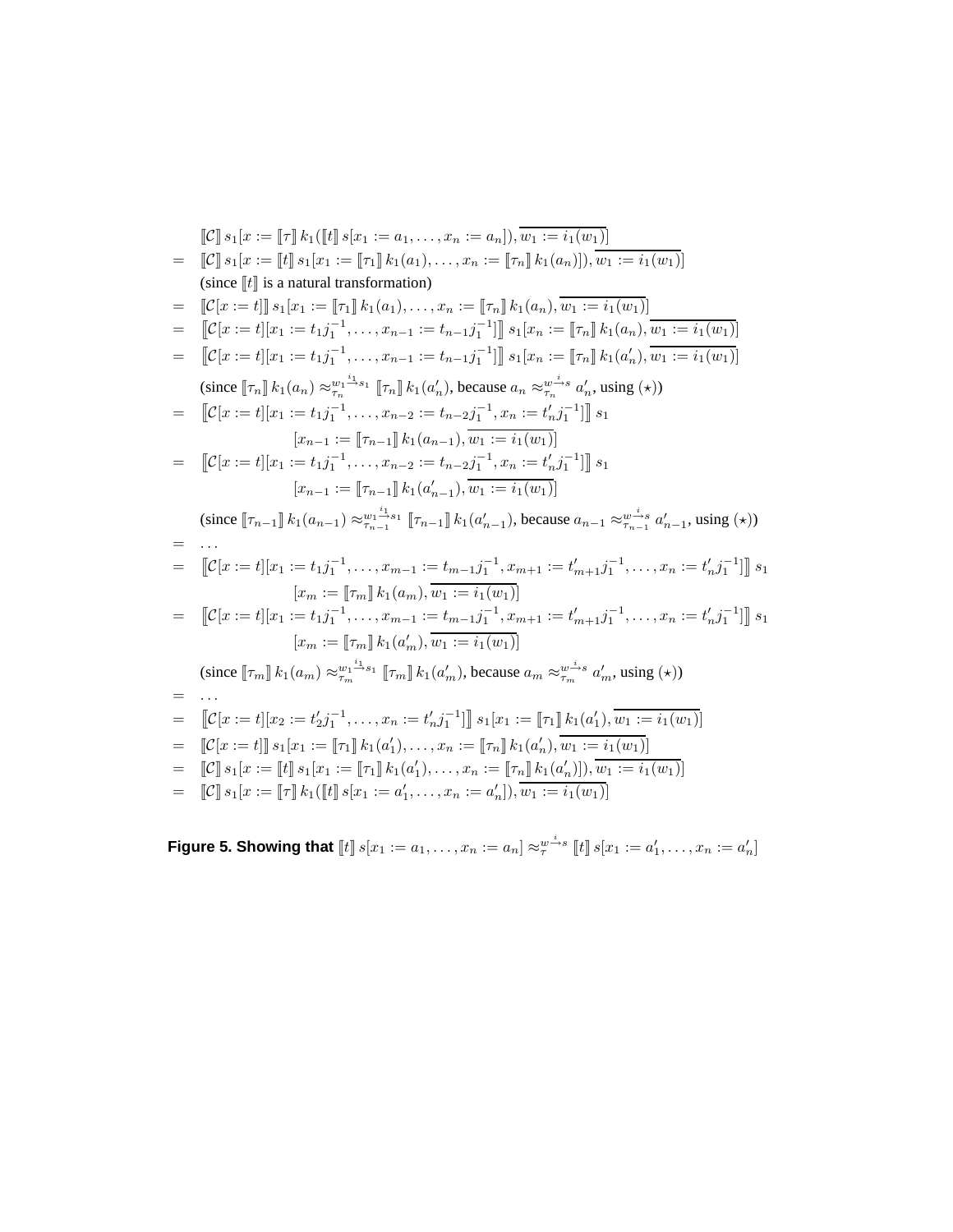$$
\begin{split}\n\llbracket \mathcal{C} \rrbracket_{s_{1}}[x := [\tau] \, k_{1}([\![t]\!] \, s[x := a_{1},...,x_{n} := a_{n}]), \, \overline{w}_{1} := i_{1}(w_{1})] \\
= & \llbracket \mathcal{C} \rrbracket_{s_{1}}[x := [\![t]\!] \, s_{1}[x := [\![\tau]\!] \, k_{1}(a_{1}),...,x_{n} := [\![\tau_{n}]\!] \, k_{1}(a_{n})]], \, \overline{w}_{1} := i_{1}(w_{1})] \\
\text{(since } [\![t]\!] \, \text{is a natural transformation)} \\
= & \llbracket \mathcal{C}[x := t] \rrbracket_{s_{1}}[x_{1} := [\![\tau_{1}]\!] \, k_{1}(a_{1}),...,x_{n} := [\![\tau_{n}]\!] \, k_{1}(a_{n}), \overline{w_{1} := i_{1}(w_{1})}] \\
= & \llbracket \mathcal{C}[x := t][x_{1} := t_{1}j_{1}^{-1},...,x_{n-1} := t_{n-1}j_{1}^{-1}] \, \rrbracket_{s_{1}}[x_{n} := [\![\tau_{n}]\!] \, k_{1}(a_{n}), \overline{w_{1} := i_{1}(w_{1})}] \\
\text{(since } [\![\tau_{n}]\!] \, k_{1}(a_{n}) \approx_{\tau_{n}}^{\psi_{n}^{-1}\text{-s}_{1}} \, [\![\tau_{n}]\!] \, k_{1}(a'_{n}), \text{because } a_{n} \approx_{\tau_{n}}^{\psi_{n}^{-1}\text{-s}_{n}} a'_{n}, \text{using } (\star)) \\
= & \llbracket \mathcal{C}[x := t][x_{1} := t_{1}j_{1}^{-1},...,x_{n-2} := t_{n-2}j_{1}^{-1},x_{n} := t_{n}j_{1}^{-1}] \, \rrbracket_{s_{1}} \\
\text{(since } [\![\tau_{n}]\!] \, k_{1}(a_{n}) \approx_{\tau_{n}}^{\psi_{n}^{-1}\text{-s}_{1}} \, [\![\tau_{n}]\!] \, k_{1}(a'_{n-1}), \text{because } a_{n} \approx_{\tau_{n}}^{\psi_{n}^{-1}\text{-s}_{n}} a'_{n}, \text{using } (\star)) \\
= & \llbracket \mathcal{C}[x := t][x_{1} := t_{1}j_{1}^{-1},...,x_{n-2} := t
$$

Figure 5. Showing that  $[\![t]\!]$   $s[x_1 := a_1, \ldots, x_n := a_n] \approx_{\tau}^{w \stackrel{i}{\rightarrow} s} [\![t]\!]$   $s[x_1 := a'_1, \ldots, x_n := a'_n]$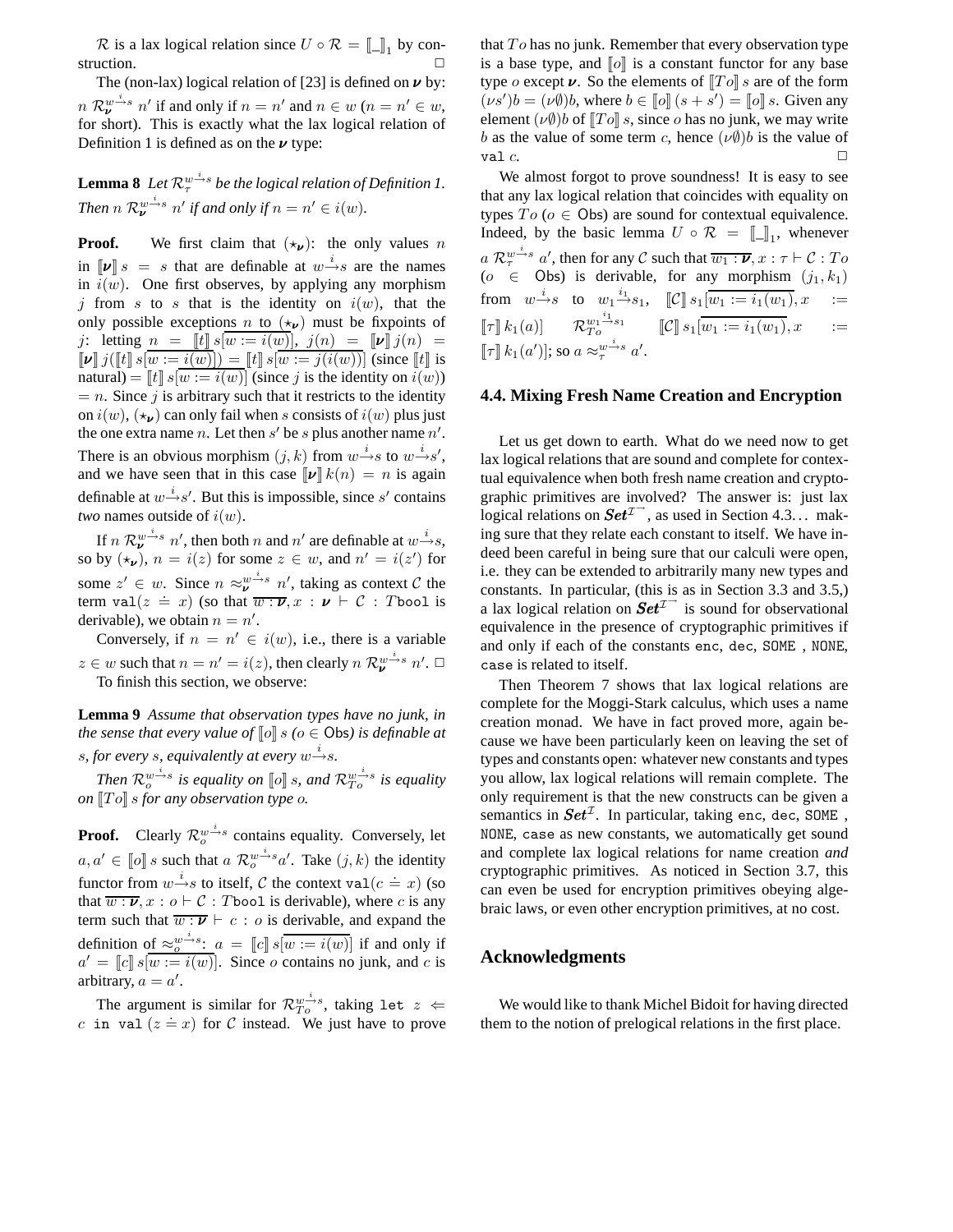$\mathcal{R}$  is a lax logical relation since  $U \circ \mathcal{R} = \llbracket \_1 \right)$  by construction.

The (non-lax) logical relation of [23] is defined on  $\nu$  by:  $n \mathcal{R}_{\nu}^{\omega \rightarrow s} n'$  if and only if  $n = n'$  and  $n \in w$   $(n = n' \in w,$ for short). This is exactly what the lax logical relation of Definition 1 is defined as on the  $\nu$  type:

**Lemma 8** Let  $\mathcal{R}_\tau^{w^{\perp}s}$  be the logical relation of Definition 1. *Then*  $n \mathcal{R}_{\nu}^{w^{\underline{i}} s} n'$  *if and only if*  $n = n' \in i(w)$ *.* 

**Proof.** We first claim that  $(\star_{\nu})$ : the only values n in  $\llbracket \nu \rrbracket s = s$  that are definable at  $w \rightarrow s$  are the names in  $i(w)$ . One first observes, by applying any morphism j from s to s that is the identity on  $i(w)$ , that the only possible exceptions n to  $(\star_{\nu})$  must be fixpoints of j: letting  $n = \|t\| s[w := i(w)], j(n) = \|v\| j(n) =$  $\llbracket \nu \rrbracket j(\llbracket t \rrbracket s \llbracket w := i(w) \rrbracket) = \llbracket t \rrbracket s \llbracket w := j(i(w)) \rrbracket$  (since  $\llbracket t \rrbracket$  is natural) =  $\llbracket t \rrbracket s[w := i(w)]$  (since j is the identity on  $i(w)$ )  $= n$ . Since j is arbitrary such that it restricts to the identity on  $i(w)$ ,  $(\star_{\nu})$  can only fail when s consists of  $i(w)$  plus just the one extra name n. Let then s' be s plus another name  $n'$ . There is an obvious morphism  $(j, k)$  from  $w \rightarrow s$  to  $w \rightarrow s'$ , and we have seen that in this case  $\llbracket \nu \rrbracket k(n) = n$  is again definable at  $w \stackrel{i}{\rightarrow} s'$ . But this is impossible, since s' contains *two* names outside of  $i(w)$ .

If  $n \mathcal{R}_{\nu}^{\nu \rightarrow s} n'$ , then both n and  $n'$  are definable at  $w \rightarrow s$ , so by  $(\star_{\nu})$ ,  $n = i(z)$  for some  $z \in w$ , and  $n' = i(z')$  for some  $z' \in w$ . Since  $n \approx \frac{w^{i}}{v} n'$ , taking as context  $C$  the term val( $z = x$ ) (so that  $\overline{w : v}$ ,  $\overline{w : w}$ ,  $\overline{w : v}$  is some  $\overline{w}$  in the term derivable), we obtain  $n = n'$ .

Conversely, if  $n = n' \in i(w)$ , i.e., there is a variable  $z \in w$  such that  $n = n' = i(z)$ , then clearly  $n \mathcal{R}_{\nu}^{w \to s} n'$ . To finish this section, we observe:

**Lemma 9** *Assume that observation types have no junk, in the sense that every value of*  $\llbracket o \rrbracket s$  ( $o \in \text{Obs}$ ) is definable at s, for every s, equivalently at every  $w \rightarrow s$ .

*Then*  $\mathcal{R}^{w^{\perp}s}_{o}$  is equality on  $\llbracket o \rrbracket$  s, and  $\mathcal{R}^{w^{\perp}s}_{To}$  is equality *on*  $\llbracket To \rrbracket$  *s for any observation type o*.

**Proof.** Clearly  $\mathcal{R}_{o}^{w^{\underline{i}}s}$  contains equality. Conversely, let  $a, a' \in \llbracket o \rrbracket s$  such that  $a \mathcal{R}_o^{w \rightarrow s} a'$ . Take  $(j, k)$  the identity functor from  $w \stackrel{i}{\rightarrow} s$  to itself, C the context val $(c \stackrel{\doteq}{=} x)$  (so that  $\overline{w : \nu}$ ,  $x : o \vdash C : T$  bool is derivable), where c is any term such that  $\overline{w : \nu} \vdash c : o$  is derivable, and expand the definition of  $\approx_{o}^{w^{-1}s}: a = [c] s[w := i(w)]$  if and only if  $a' = [c] \, s[w := i(w)]$ . Since o contains no junk, and c is arbitrary,  $a = a'$ .

The argument is similar for  $\mathcal{R}_{To}^{w \stackrel{i}{\rightarrow} s}$ , taking let  $z \Leftarrow$ c in val  $(z = x)$  for C instead. We just have to prove that  $To$  has no junk. Remember that every observation type is a base type, and  $\llbracket o \rrbracket$  is a constant functor for any base type *o* except  $\nu$ . So the elements of  $\llbracket T \circ \rrbracket$  s are of the form  $(\nu s')b = (\nu \emptyset)b$ , where  $b \in [\![o]\!](s + s') = [\![o]\!]s$ . Given any element  $(\nu \emptyset)$ b of  $\llbracket T \circ \rrbracket s$ , since o has no junk, we may write b as the value of some term c, hence  $(\nu \emptyset)$ b is the value of val  $c$ .

We almost forgot to prove soundness! It is easy to see that any lax logical relation that coincides with equality on types  $To (o \in \text{Obs})$  are sound for contextual equivalence. Indeed, by the basic lemma  $U \circ \mathcal{R} = [\![ \_ \ ]\!]_1$ , whenever  $a\mathrel{\mathcal{R}}_{\tau}^{w\stackrel{i}{\rightarrow}s}a',$  then for any  $\mathcal C$  such that  $\overline{w_1:\boldsymbol{\nu}},x:\tau\vdash \mathcal C:T$ o  $(o \in \text{Obs})$  is derivable, for any morphism  $(j_1, k_1)$ from  $w \stackrel{i}{\rightarrow} s$  to  $w_1 \stackrel{i_1}{\rightarrow}$  $s_1, \quad \llbracket \mathcal{C} \rrbracket \, s_1[w_1 := i_1(w_1), x \quad :=$  $\llbracket \tau \rrbracket \, k_1(a) ] \qquad {\mathcal{R}}_{To}^{w_1 \overset{i_1}{\longrightarrow} s_1} \qquad \llbracket {\mathcal{C}} \rrbracket \, s_1[\overline{w_1 := i_1(w_1)}, x \qquad :=$  $[\![\tau]\!] k_1(a')];$  so  $a \approx_{\tau}^{w \xrightarrow{i} s} a'.$ 

# **4.4. Mixing Fresh Name Creation and Encryption**

Let us get down to earth. What do we need now to get lax logical relations that are sound and complete for contextual equivalence when both fresh name creation and cryptographic primitives are involved? The answer is: just lax logical relations on  $\mathbf{Set}^{\mathcal{I}^{\rightarrow}}$ , as used in Section 4.3... making sure that they relate each constant to itself. We have indeed been careful in being sure that our calculi were open, i.e. they can be extended to arbitrarily many new types and constants. In particular, (this is as in Section 3.3 and 3.5,) a lax logical relation on  $\mathbf{Set}^{\mathcal{I}^{\rightarrow}}$  is sound for observational equivalence in the presence of cryptographic primitives if and only if each of the constants enc, dec, SOME , NONE, case is related to itself.

Then Theorem 7 shows that lax logical relations are complete for the Moggi-Stark calculus, which uses a name creation monad. We have in fact proved more, again because we have been particularly keen on leaving the set of types and constants open: whatever new constants and types you allow, lax logical relations will remain complete. The only requirement is that the new constructs can be given a semantics in  $Set^{\mathcal{I}}$ . In particular, taking enc, dec, SOME, NONE, case as new constants, we automatically get sound and complete lax logical relations for name creation *and* cryptographic primitives. As noticed in Section 3.7, this can even be used for encryption primitives obeying algebraic laws, or even other encryption primitives, at no cost.

# **Acknowledgments**

We would like to thank Michel Bidoit for having directed them to the notion of prelogical relations in the first place.